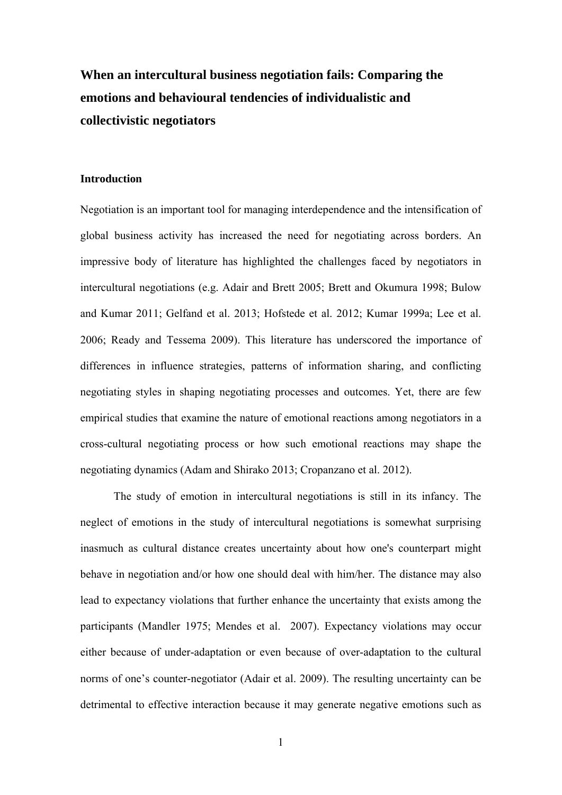# **When an intercultural business negotiation fails: Comparing the emotions and behavioural tendencies of individualistic and collectivistic negotiators**

#### **Introduction**

Negotiation is an important tool for managing interdependence and the intensification of global business activity has increased the need for negotiating across borders. An impressive body of literature has highlighted the challenges faced by negotiators in intercultural negotiations (e.g. Adair and Brett 2005; Brett and Okumura 1998; Bulow and Kumar 2011; Gelfand et al. 2013; Hofstede et al. 2012; Kumar 1999a; Lee et al. 2006; Ready and Tessema 2009). This literature has underscored the importance of differences in influence strategies, patterns of information sharing, and conflicting negotiating styles in shaping negotiating processes and outcomes. Yet, there are few empirical studies that examine the nature of emotional reactions among negotiators in a cross-cultural negotiating process or how such emotional reactions may shape the negotiating dynamics (Adam and Shirako 2013; Cropanzano et al. 2012).

The study of emotion in intercultural negotiations is still in its infancy. The neglect of emotions in the study of intercultural negotiations is somewhat surprising inasmuch as cultural distance creates uncertainty about how one's counterpart might behave in negotiation and/or how one should deal with him/her. The distance may also lead to expectancy violations that further enhance the uncertainty that exists among the participants (Mandler 1975; Mendes et al. 2007). Expectancy violations may occur either because of under-adaptation or even because of over-adaptation to the cultural norms of one's counter-negotiator (Adair et al. 2009). The resulting uncertainty can be detrimental to effective interaction because it may generate negative emotions such as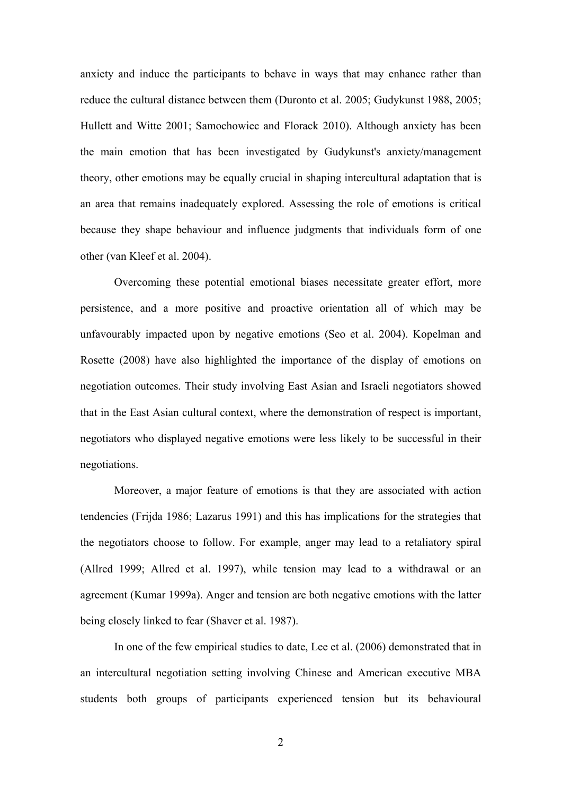anxiety and induce the participants to behave in ways that may enhance rather than reduce the cultural distance between them (Duronto et al. 2005; Gudykunst 1988, 2005; Hullett and Witte 2001; Samochowiec and Florack 2010). Although anxiety has been the main emotion that has been investigated by Gudykunst's anxiety/management theory, other emotions may be equally crucial in shaping intercultural adaptation that is an area that remains inadequately explored. Assessing the role of emotions is critical because they shape behaviour and influence judgments that individuals form of one other (van Kleef et al. 2004).

Overcoming these potential emotional biases necessitate greater effort, more persistence, and a more positive and proactive orientation all of which may be unfavourably impacted upon by negative emotions (Seo et al. 2004). Kopelman and Rosette (2008) have also highlighted the importance of the display of emotions on negotiation outcomes. Their study involving East Asian and Israeli negotiators showed that in the East Asian cultural context, where the demonstration of respect is important, negotiators who displayed negative emotions were less likely to be successful in their negotiations.

Moreover, a major feature of emotions is that they are associated with action tendencies (Frijda 1986; Lazarus 1991) and this has implications for the strategies that the negotiators choose to follow. For example, anger may lead to a retaliatory spiral (Allred 1999; Allred et al. 1997), while tension may lead to a withdrawal or an agreement (Kumar 1999a). Anger and tension are both negative emotions with the latter being closely linked to fear (Shaver et al. 1987).

In one of the few empirical studies to date, Lee et al. (2006) demonstrated that in an intercultural negotiation setting involving Chinese and American executive MBA students both groups of participants experienced tension but its behavioural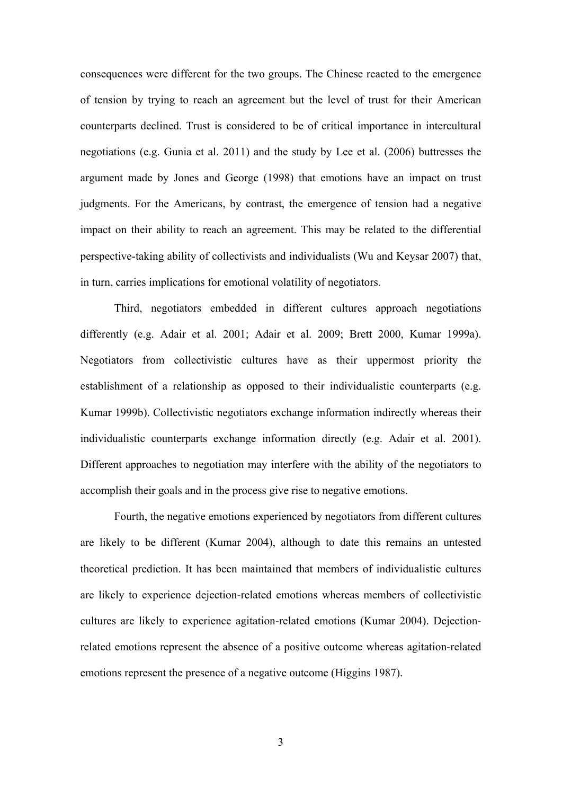consequences were different for the two groups. The Chinese reacted to the emergence of tension by trying to reach an agreement but the level of trust for their American counterparts declined. Trust is considered to be of critical importance in intercultural negotiations (e.g. Gunia et al. 2011) and the study by Lee et al. (2006) buttresses the argument made by Jones and George (1998) that emotions have an impact on trust judgments. For the Americans, by contrast, the emergence of tension had a negative impact on their ability to reach an agreement. This may be related to the differential perspective-taking ability of collectivists and individualists (Wu and Keysar 2007) that, in turn, carries implications for emotional volatility of negotiators.

Third, negotiators embedded in different cultures approach negotiations differently (e.g. Adair et al. 2001; Adair et al. 2009; Brett 2000, Kumar 1999a). Negotiators from collectivistic cultures have as their uppermost priority the establishment of a relationship as opposed to their individualistic counterparts (e.g. Kumar 1999b). Collectivistic negotiators exchange information indirectly whereas their individualistic counterparts exchange information directly (e.g. Adair et al. 2001). Different approaches to negotiation may interfere with the ability of the negotiators to accomplish their goals and in the process give rise to negative emotions.

Fourth, the negative emotions experienced by negotiators from different cultures are likely to be different (Kumar 2004), although to date this remains an untested theoretical prediction. It has been maintained that members of individualistic cultures are likely to experience dejection-related emotions whereas members of collectivistic cultures are likely to experience agitation-related emotions (Kumar 2004). Dejectionrelated emotions represent the absence of a positive outcome whereas agitation-related emotions represent the presence of a negative outcome (Higgins 1987).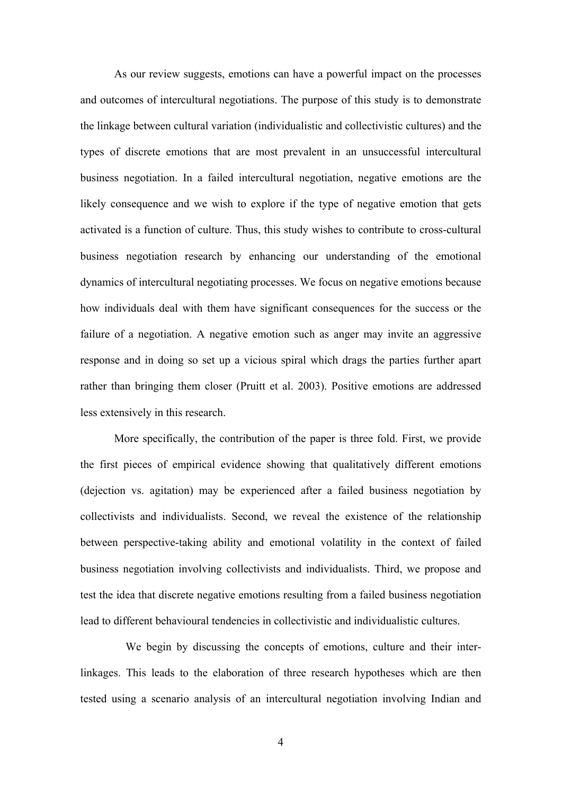As our review suggests, emotions can have a powerful impact on the processes and outcomes of intercultural negotiations. The purpose of this study is to demonstrate the linkage between cultural variation (individualistic and collectivistic cultures) and the types of discrete emotions that are most prevalent in an unsuccessful intercultural business negotiation. In a failed intercultural negotiation, negative emotions are the likely consequence and we wish to explore if the type of negative emotion that gets activated is a function of culture. Thus, this study wishes to contribute to cross-cultural business negotiation research by enhancing our understanding of the emotional dynamics of intercultural negotiating processes. We focus on negative emotions because how individuals deal with them have significant consequences for the success or the failure of a negotiation. A negative emotion such as anger may invite an aggressive response and in doing so set up a vicious spiral which drags the parties further apart rather than bringing them closer (Pruitt et al. 2003). Positive emotions are addressed less extensively in this research.

More specifically, the contribution of the paper is three fold. First, we provide the first pieces of empirical evidence showing that qualitatively different emotions (dejection vs. agitation) may be experienced after a failed business negotiation by collectivists and individualists. Second, we reveal the existence of the relationship between perspective-taking ability and emotional volatility in the context of failed business negotiation involving collectivists and individualists. Third, we propose and test the idea that discrete negative emotions resulting from a failed business negotiation lead to different behavioural tendencies in collectivistic and individualistic cultures.

 We begin by discussing the concepts of emotions, culture and their interlinkages. This leads to the elaboration of three research hypotheses which are then tested using a scenario analysis of an intercultural negotiation involving Indian and

4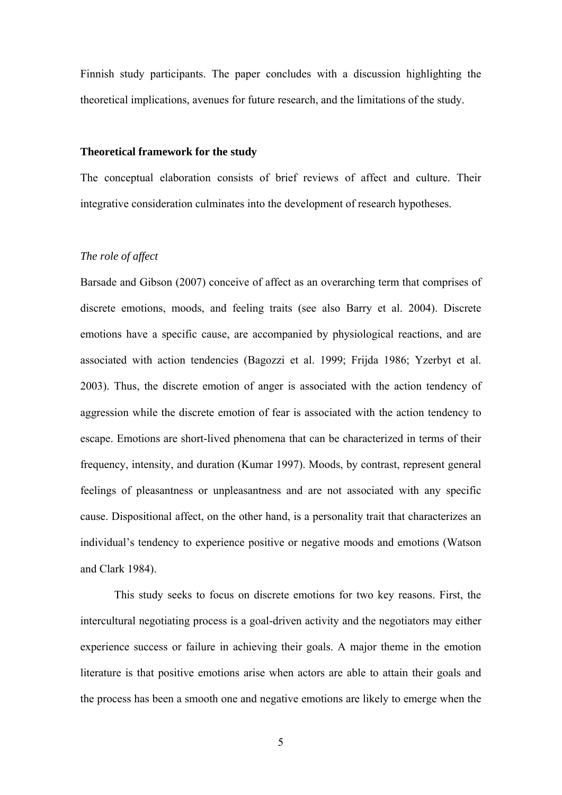Finnish study participants. The paper concludes with a discussion highlighting the theoretical implications, avenues for future research, and the limitations of the study.

# **Theoretical framework for the study**

The conceptual elaboration consists of brief reviews of affect and culture. Their integrative consideration culminates into the development of research hypotheses.

# *The role of affect*

Barsade and Gibson (2007) conceive of affect as an overarching term that comprises of discrete emotions, moods, and feeling traits (see also Barry et al. 2004). Discrete emotions have a specific cause, are accompanied by physiological reactions, and are associated with action tendencies (Bagozzi et al. 1999; Frijda 1986; Yzerbyt et al. 2003). Thus, the discrete emotion of anger is associated with the action tendency of aggression while the discrete emotion of fear is associated with the action tendency to escape. Emotions are short-lived phenomena that can be characterized in terms of their frequency, intensity, and duration (Kumar 1997). Moods, by contrast, represent general feelings of pleasantness or unpleasantness and are not associated with any specific cause. Dispositional affect, on the other hand, is a personality trait that characterizes an individual's tendency to experience positive or negative moods and emotions (Watson and Clark 1984).

This study seeks to focus on discrete emotions for two key reasons. First, the intercultural negotiating process is a goal-driven activity and the negotiators may either experience success or failure in achieving their goals. A major theme in the emotion literature is that positive emotions arise when actors are able to attain their goals and the process has been a smooth one and negative emotions are likely to emerge when the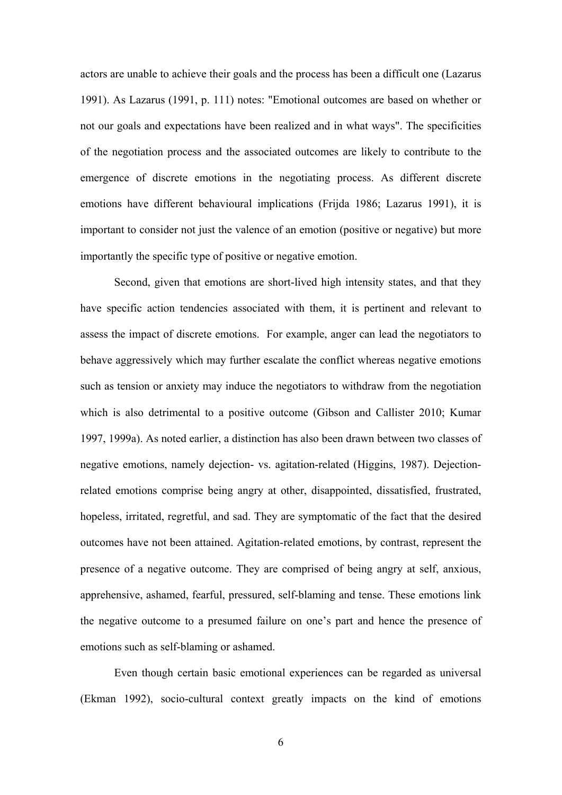actors are unable to achieve their goals and the process has been a difficult one (Lazarus 1991). As Lazarus (1991, p. 111) notes: "Emotional outcomes are based on whether or not our goals and expectations have been realized and in what ways". The specificities of the negotiation process and the associated outcomes are likely to contribute to the emergence of discrete emotions in the negotiating process. As different discrete emotions have different behavioural implications (Frijda 1986; Lazarus 1991), it is important to consider not just the valence of an emotion (positive or negative) but more importantly the specific type of positive or negative emotion.

Second, given that emotions are short-lived high intensity states, and that they have specific action tendencies associated with them, it is pertinent and relevant to assess the impact of discrete emotions. For example, anger can lead the negotiators to behave aggressively which may further escalate the conflict whereas negative emotions such as tension or anxiety may induce the negotiators to withdraw from the negotiation which is also detrimental to a positive outcome (Gibson and Callister 2010; Kumar 1997, 1999a). As noted earlier, a distinction has also been drawn between two classes of negative emotions, namely dejection- vs. agitation-related (Higgins, 1987). Dejectionrelated emotions comprise being angry at other, disappointed, dissatisfied, frustrated, hopeless, irritated, regretful, and sad. They are symptomatic of the fact that the desired outcomes have not been attained. Agitation-related emotions, by contrast, represent the presence of a negative outcome. They are comprised of being angry at self, anxious, apprehensive, ashamed, fearful, pressured, self-blaming and tense. These emotions link the negative outcome to a presumed failure on one's part and hence the presence of emotions such as self-blaming or ashamed.

Even though certain basic emotional experiences can be regarded as universal (Ekman 1992), socio-cultural context greatly impacts on the kind of emotions

6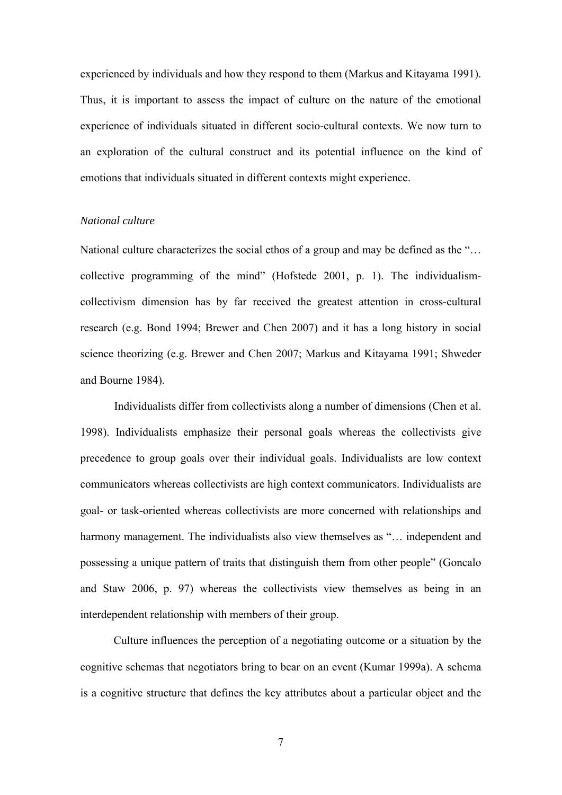experienced by individuals and how they respond to them (Markus and Kitayama 1991). Thus, it is important to assess the impact of culture on the nature of the emotional experience of individuals situated in different socio-cultural contexts. We now turn to an exploration of the cultural construct and its potential influence on the kind of emotions that individuals situated in different contexts might experience.

# *National culture*

National culture characterizes the social ethos of a group and may be defined as the "… collective programming of the mind" (Hofstede 2001, p. 1). The individualismcollectivism dimension has by far received the greatest attention in cross-cultural research (e.g. Bond 1994; Brewer and Chen 2007) and it has a long history in social science theorizing (e.g. Brewer and Chen 2007; Markus and Kitayama 1991; Shweder and Bourne 1984).

Individualists differ from collectivists along a number of dimensions (Chen et al. 1998). Individualists emphasize their personal goals whereas the collectivists give precedence to group goals over their individual goals. Individualists are low context communicators whereas collectivists are high context communicators. Individualists are goal- or task-oriented whereas collectivists are more concerned with relationships and harmony management. The individualists also view themselves as "... independent and possessing a unique pattern of traits that distinguish them from other people" (Goncalo and Staw 2006, p. 97) whereas the collectivists view themselves as being in an interdependent relationship with members of their group.

Culture influences the perception of a negotiating outcome or a situation by the cognitive schemas that negotiators bring to bear on an event (Kumar 1999a). A schema is a cognitive structure that defines the key attributes about a particular object and the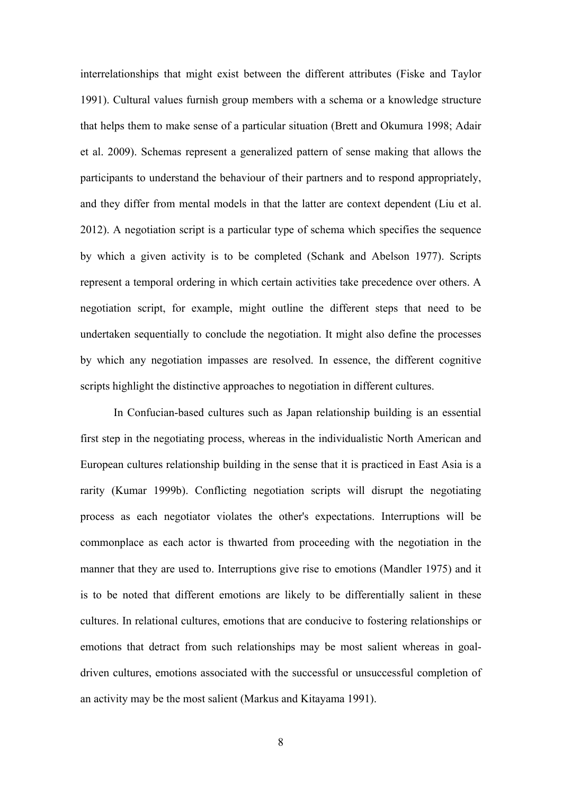interrelationships that might exist between the different attributes (Fiske and Taylor 1991). Cultural values furnish group members with a schema or a knowledge structure that helps them to make sense of a particular situation (Brett and Okumura 1998; Adair et al. 2009). Schemas represent a generalized pattern of sense making that allows the participants to understand the behaviour of their partners and to respond appropriately, and they differ from mental models in that the latter are context dependent (Liu et al. 2012). A negotiation script is a particular type of schema which specifies the sequence by which a given activity is to be completed (Schank and Abelson 1977). Scripts represent a temporal ordering in which certain activities take precedence over others. A negotiation script, for example, might outline the different steps that need to be undertaken sequentially to conclude the negotiation. It might also define the processes by which any negotiation impasses are resolved. In essence, the different cognitive scripts highlight the distinctive approaches to negotiation in different cultures.

In Confucian-based cultures such as Japan relationship building is an essential first step in the negotiating process, whereas in the individualistic North American and European cultures relationship building in the sense that it is practiced in East Asia is a rarity (Kumar 1999b). Conflicting negotiation scripts will disrupt the negotiating process as each negotiator violates the other's expectations. Interruptions will be commonplace as each actor is thwarted from proceeding with the negotiation in the manner that they are used to. Interruptions give rise to emotions (Mandler 1975) and it is to be noted that different emotions are likely to be differentially salient in these cultures. In relational cultures, emotions that are conducive to fostering relationships or emotions that detract from such relationships may be most salient whereas in goaldriven cultures, emotions associated with the successful or unsuccessful completion of an activity may be the most salient (Markus and Kitayama 1991).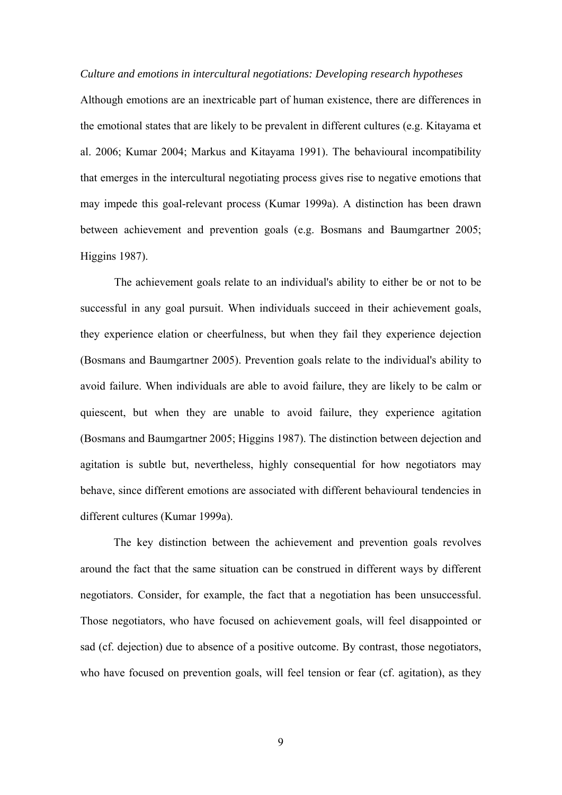*Culture and emotions in intercultural negotiations: Developing research hypotheses*

Although emotions are an inextricable part of human existence, there are differences in the emotional states that are likely to be prevalent in different cultures (e.g. Kitayama et al. 2006; Kumar 2004; Markus and Kitayama 1991). The behavioural incompatibility that emerges in the intercultural negotiating process gives rise to negative emotions that may impede this goal-relevant process (Kumar 1999a). A distinction has been drawn between achievement and prevention goals (e.g. Bosmans and Baumgartner 2005; Higgins 1987).

The achievement goals relate to an individual's ability to either be or not to be successful in any goal pursuit. When individuals succeed in their achievement goals, they experience elation or cheerfulness, but when they fail they experience dejection (Bosmans and Baumgartner 2005). Prevention goals relate to the individual's ability to avoid failure. When individuals are able to avoid failure, they are likely to be calm or quiescent, but when they are unable to avoid failure, they experience agitation (Bosmans and Baumgartner 2005; Higgins 1987). The distinction between dejection and agitation is subtle but, nevertheless, highly consequential for how negotiators may behave, since different emotions are associated with different behavioural tendencies in different cultures (Kumar 1999a).

The key distinction between the achievement and prevention goals revolves around the fact that the same situation can be construed in different ways by different negotiators. Consider, for example, the fact that a negotiation has been unsuccessful. Those negotiators, who have focused on achievement goals, will feel disappointed or sad (cf. dejection) due to absence of a positive outcome. By contrast, those negotiators, who have focused on prevention goals, will feel tension or fear (cf. agitation), as they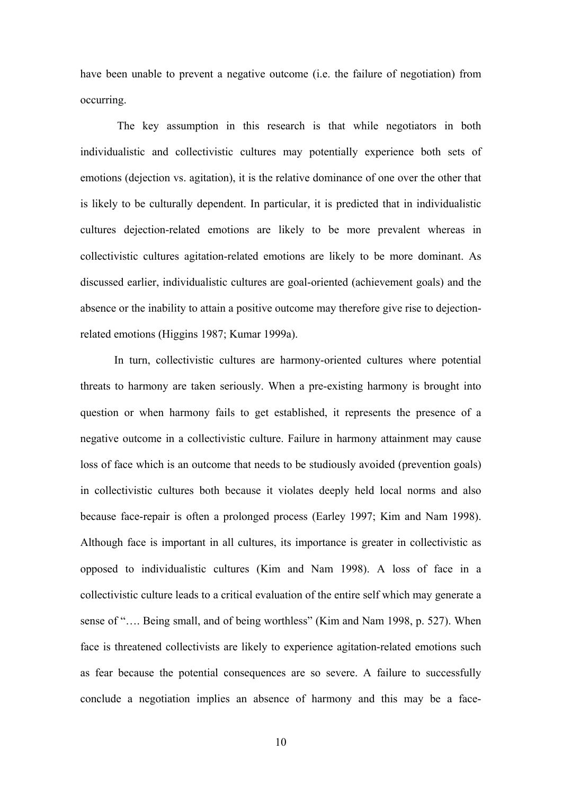have been unable to prevent a negative outcome (i.e. the failure of negotiation) from occurring.

 The key assumption in this research is that while negotiators in both individualistic and collectivistic cultures may potentially experience both sets of emotions (dejection vs. agitation), it is the relative dominance of one over the other that is likely to be culturally dependent. In particular, it is predicted that in individualistic cultures dejection-related emotions are likely to be more prevalent whereas in collectivistic cultures agitation-related emotions are likely to be more dominant. As discussed earlier, individualistic cultures are goal-oriented (achievement goals) and the absence or the inability to attain a positive outcome may therefore give rise to dejectionrelated emotions (Higgins 1987; Kumar 1999a).

In turn, collectivistic cultures are harmony-oriented cultures where potential threats to harmony are taken seriously. When a pre-existing harmony is brought into question or when harmony fails to get established, it represents the presence of a negative outcome in a collectivistic culture. Failure in harmony attainment may cause loss of face which is an outcome that needs to be studiously avoided (prevention goals) in collectivistic cultures both because it violates deeply held local norms and also because face-repair is often a prolonged process (Earley 1997; Kim and Nam 1998). Although face is important in all cultures, its importance is greater in collectivistic as opposed to individualistic cultures (Kim and Nam 1998). A loss of face in a collectivistic culture leads to a critical evaluation of the entire self which may generate a sense of ".... Being small, and of being worthless" (Kim and Nam 1998, p. 527). When face is threatened collectivists are likely to experience agitation-related emotions such as fear because the potential consequences are so severe. A failure to successfully conclude a negotiation implies an absence of harmony and this may be a face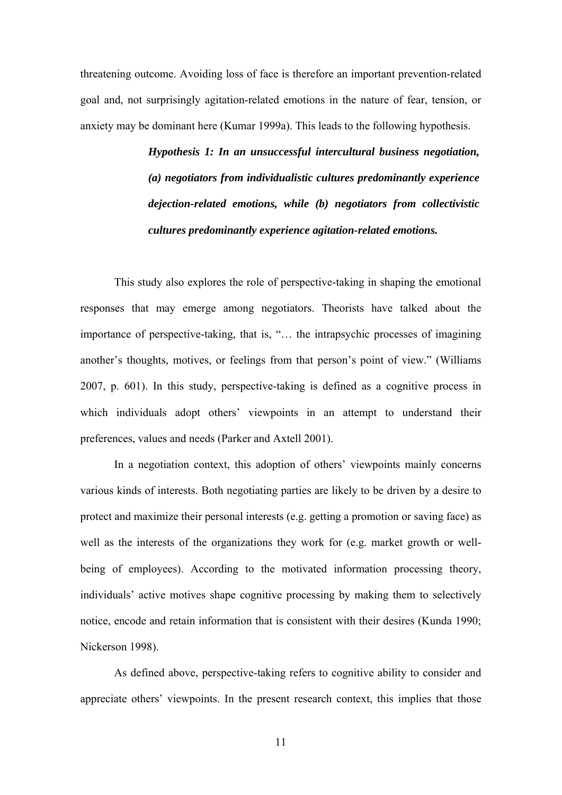threatening outcome. Avoiding loss of face is therefore an important prevention-related goal and, not surprisingly agitation-related emotions in the nature of fear, tension, or anxiety may be dominant here (Kumar 1999a). This leads to the following hypothesis.

> *Hypothesis 1: In an unsuccessful intercultural business negotiation, (a) negotiators from individualistic cultures predominantly experience dejection-related emotions, while (b) negotiators from collectivistic cultures predominantly experience agitation-related emotions.*

This study also explores the role of perspective-taking in shaping the emotional responses that may emerge among negotiators. Theorists have talked about the importance of perspective-taking, that is, "… the intrapsychic processes of imagining another's thoughts, motives, or feelings from that person's point of view." (Williams 2007, p. 601). In this study, perspective-taking is defined as a cognitive process in which individuals adopt others' viewpoints in an attempt to understand their preferences, values and needs (Parker and Axtell 2001).

In a negotiation context, this adoption of others' viewpoints mainly concerns various kinds of interests. Both negotiating parties are likely to be driven by a desire to protect and maximize their personal interests (e.g. getting a promotion or saving face) as well as the interests of the organizations they work for (e.g. market growth or wellbeing of employees). According to the motivated information processing theory, individuals' active motives shape cognitive processing by making them to selectively notice, encode and retain information that is consistent with their desires (Kunda 1990; Nickerson 1998).

As defined above, perspective-taking refers to cognitive ability to consider and appreciate others' viewpoints. In the present research context, this implies that those

11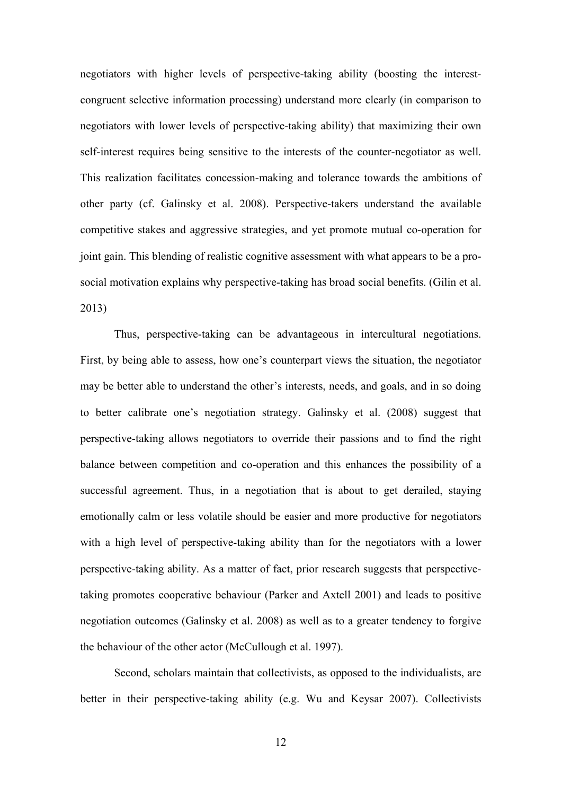negotiators with higher levels of perspective-taking ability (boosting the interestcongruent selective information processing) understand more clearly (in comparison to negotiators with lower levels of perspective-taking ability) that maximizing their own self-interest requires being sensitive to the interests of the counter-negotiator as well. This realization facilitates concession-making and tolerance towards the ambitions of other party (cf. Galinsky et al. 2008). Perspective-takers understand the available competitive stakes and aggressive strategies, and yet promote mutual co-operation for joint gain. This blending of realistic cognitive assessment with what appears to be a prosocial motivation explains why perspective-taking has broad social benefits. (Gilin et al. 2013)

Thus, perspective-taking can be advantageous in intercultural negotiations. First, by being able to assess, how one's counterpart views the situation, the negotiator may be better able to understand the other's interests, needs, and goals, and in so doing to better calibrate one's negotiation strategy. Galinsky et al. (2008) suggest that perspective-taking allows negotiators to override their passions and to find the right balance between competition and co-operation and this enhances the possibility of a successful agreement. Thus, in a negotiation that is about to get derailed, staying emotionally calm or less volatile should be easier and more productive for negotiators with a high level of perspective-taking ability than for the negotiators with a lower perspective-taking ability. As a matter of fact, prior research suggests that perspectivetaking promotes cooperative behaviour (Parker and Axtell 2001) and leads to positive negotiation outcomes (Galinsky et al. 2008) as well as to a greater tendency to forgive the behaviour of the other actor (McCullough et al. 1997).

Second, scholars maintain that collectivists, as opposed to the individualists, are better in their perspective-taking ability (e.g. Wu and Keysar 2007). Collectivists

12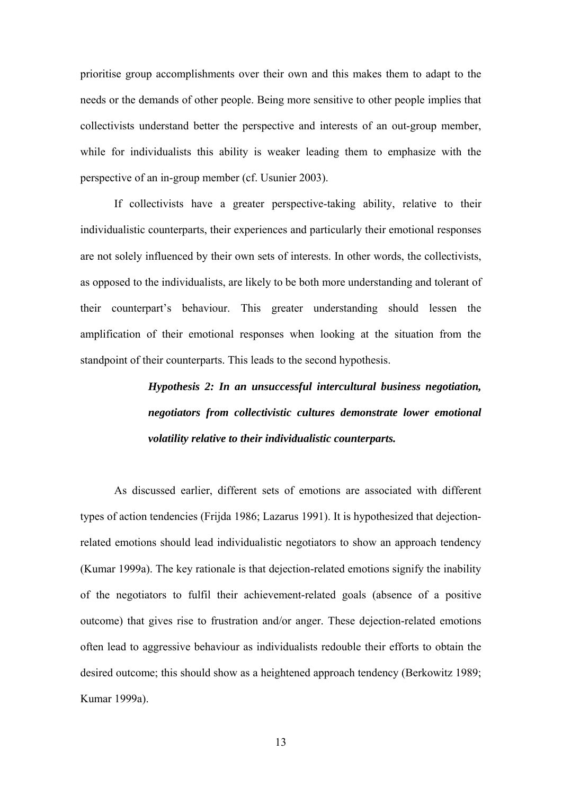prioritise group accomplishments over their own and this makes them to adapt to the needs or the demands of other people. Being more sensitive to other people implies that collectivists understand better the perspective and interests of an out-group member, while for individualists this ability is weaker leading them to emphasize with the perspective of an in-group member (cf. Usunier 2003).

If collectivists have a greater perspective-taking ability, relative to their individualistic counterparts, their experiences and particularly their emotional responses are not solely influenced by their own sets of interests. In other words, the collectivists, as opposed to the individualists, are likely to be both more understanding and tolerant of their counterpart's behaviour. This greater understanding should lessen the amplification of their emotional responses when looking at the situation from the standpoint of their counterparts. This leads to the second hypothesis.

# *Hypothesis 2: In an unsuccessful intercultural business negotiation, negotiators from collectivistic cultures demonstrate lower emotional volatility relative to their individualistic counterparts.*

As discussed earlier, different sets of emotions are associated with different types of action tendencies (Frijda 1986; Lazarus 1991). It is hypothesized that dejectionrelated emotions should lead individualistic negotiators to show an approach tendency (Kumar 1999a). The key rationale is that dejection-related emotions signify the inability of the negotiators to fulfil their achievement-related goals (absence of a positive outcome) that gives rise to frustration and/or anger. These dejection-related emotions often lead to aggressive behaviour as individualists redouble their efforts to obtain the desired outcome; this should show as a heightened approach tendency (Berkowitz 1989; Kumar 1999a).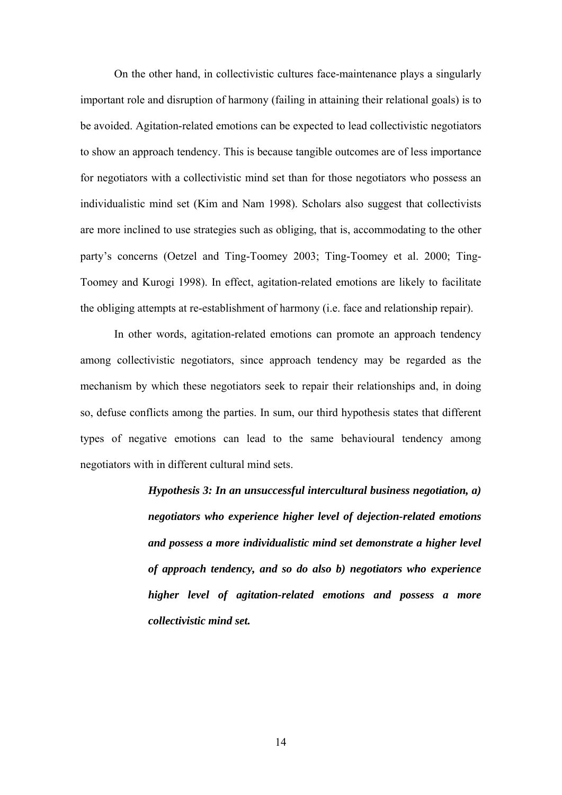On the other hand, in collectivistic cultures face-maintenance plays a singularly important role and disruption of harmony (failing in attaining their relational goals) is to be avoided. Agitation-related emotions can be expected to lead collectivistic negotiators to show an approach tendency. This is because tangible outcomes are of less importance for negotiators with a collectivistic mind set than for those negotiators who possess an individualistic mind set (Kim and Nam 1998). Scholars also suggest that collectivists are more inclined to use strategies such as obliging, that is, accommodating to the other party's concerns (Oetzel and Ting-Toomey 2003; Ting-Toomey et al. 2000; Ting-Toomey and Kurogi 1998). In effect, agitation-related emotions are likely to facilitate the obliging attempts at re-establishment of harmony (i.e. face and relationship repair).

In other words, agitation-related emotions can promote an approach tendency among collectivistic negotiators, since approach tendency may be regarded as the mechanism by which these negotiators seek to repair their relationships and, in doing so, defuse conflicts among the parties. In sum, our third hypothesis states that different types of negative emotions can lead to the same behavioural tendency among negotiators with in different cultural mind sets.

> *Hypothesis 3: In an unsuccessful intercultural business negotiation, a) negotiators who experience higher level of dejection-related emotions and possess a more individualistic mind set demonstrate a higher level of approach tendency, and so do also b) negotiators who experience higher level of agitation-related emotions and possess a more collectivistic mind set.*

> > 14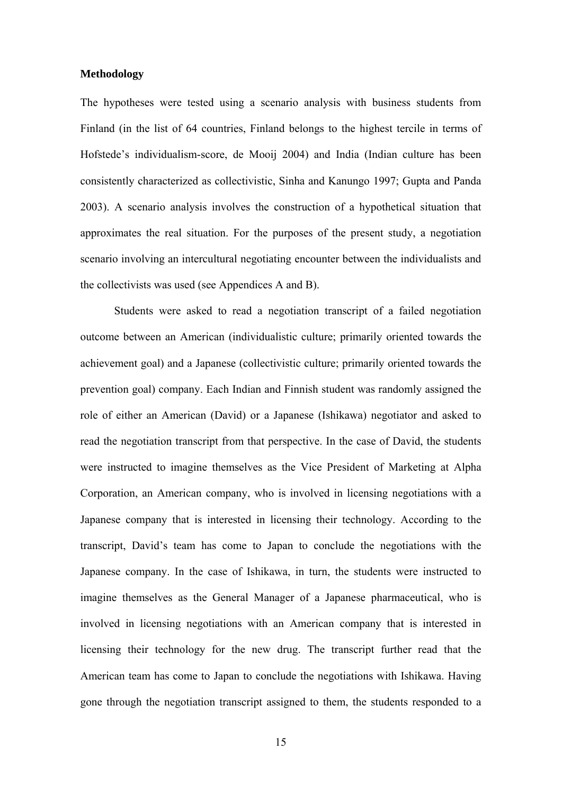# **Methodology**

The hypotheses were tested using a scenario analysis with business students from Finland (in the list of 64 countries, Finland belongs to the highest tercile in terms of Hofstede's individualism-score, de Mooij 2004) and India (Indian culture has been consistently characterized as collectivistic, Sinha and Kanungo 1997; Gupta and Panda 2003). A scenario analysis involves the construction of a hypothetical situation that approximates the real situation. For the purposes of the present study, a negotiation scenario involving an intercultural negotiating encounter between the individualists and the collectivists was used (see Appendices A and B).

Students were asked to read a negotiation transcript of a failed negotiation outcome between an American (individualistic culture; primarily oriented towards the achievement goal) and a Japanese (collectivistic culture; primarily oriented towards the prevention goal) company. Each Indian and Finnish student was randomly assigned the role of either an American (David) or a Japanese (Ishikawa) negotiator and asked to read the negotiation transcript from that perspective. In the case of David, the students were instructed to imagine themselves as the Vice President of Marketing at Alpha Corporation, an American company, who is involved in licensing negotiations with a Japanese company that is interested in licensing their technology. According to the transcript, David's team has come to Japan to conclude the negotiations with the Japanese company. In the case of Ishikawa, in turn, the students were instructed to imagine themselves as the General Manager of a Japanese pharmaceutical, who is involved in licensing negotiations with an American company that is interested in licensing their technology for the new drug. The transcript further read that the American team has come to Japan to conclude the negotiations with Ishikawa. Having gone through the negotiation transcript assigned to them, the students responded to a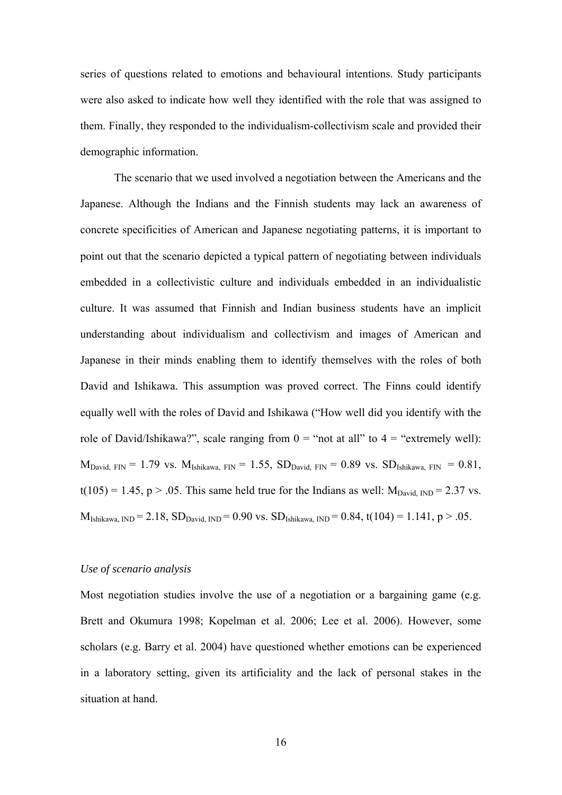series of questions related to emotions and behavioural intentions. Study participants were also asked to indicate how well they identified with the role that was assigned to them. Finally, they responded to the individualism-collectivism scale and provided their demographic information.

The scenario that we used involved a negotiation between the Americans and the Japanese. Although the Indians and the Finnish students may lack an awareness of concrete specificities of American and Japanese negotiating patterns, it is important to point out that the scenario depicted a typical pattern of negotiating between individuals embedded in a collectivistic culture and individuals embedded in an individualistic culture. It was assumed that Finnish and Indian business students have an implicit understanding about individualism and collectivism and images of American and Japanese in their minds enabling them to identify themselves with the roles of both David and Ishikawa. This assumption was proved correct. The Finns could identify equally well with the roles of David and Ishikawa ("How well did you identify with the role of David/Ishikawa?", scale ranging from  $0 =$  "not at all" to  $4 =$  "extremely well):  $M_{\text{David, FIN}} = 1.79$  vs.  $M_{\text{Ishikawa, FIN}} = 1.55$ ,  $SD_{\text{David, FIN}} = 0.89$  vs.  $SD_{\text{Ishikawa, FIN}} = 0.81$ ,  $t(105) = 1.45$ , p > .05. This same held true for the Indians as well:  $M_{David, IND} = 2.37$  vs.  $M_{Ishikawa, IND} = 2.18$ ,  $SD_{David, IND} = 0.90$  vs.  $SD_{Ishikawa, IND} = 0.84$ ,  $t(104) = 1.141$ ,  $p > .05$ .

# *Use of scenario analysis*

Most negotiation studies involve the use of a negotiation or a bargaining game (e.g. Brett and Okumura 1998; Kopelman et al. 2006; Lee et al. 2006). However, some scholars (e.g. Barry et al. 2004) have questioned whether emotions can be experienced in a laboratory setting, given its artificiality and the lack of personal stakes in the situation at hand.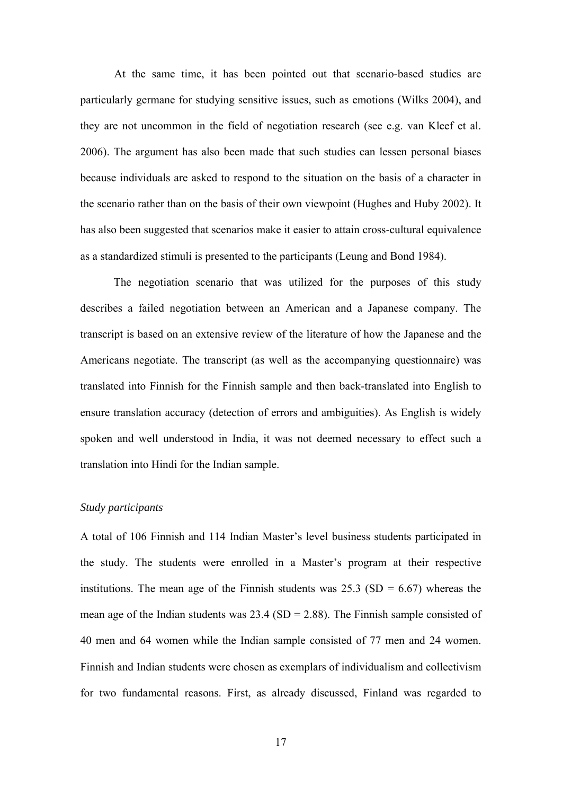At the same time, it has been pointed out that scenario-based studies are particularly germane for studying sensitive issues, such as emotions (Wilks 2004), and they are not uncommon in the field of negotiation research (see e.g. van Kleef et al. 2006). The argument has also been made that such studies can lessen personal biases because individuals are asked to respond to the situation on the basis of a character in the scenario rather than on the basis of their own viewpoint (Hughes and Huby 2002). It has also been suggested that scenarios make it easier to attain cross-cultural equivalence as a standardized stimuli is presented to the participants (Leung and Bond 1984).

The negotiation scenario that was utilized for the purposes of this study describes a failed negotiation between an American and a Japanese company. The transcript is based on an extensive review of the literature of how the Japanese and the Americans negotiate. The transcript (as well as the accompanying questionnaire) was translated into Finnish for the Finnish sample and then back-translated into English to ensure translation accuracy (detection of errors and ambiguities). As English is widely spoken and well understood in India, it was not deemed necessary to effect such a translation into Hindi for the Indian sample.

# *Study participants*

A total of 106 Finnish and 114 Indian Master's level business students participated in the study. The students were enrolled in a Master's program at their respective institutions. The mean age of the Finnish students was  $25.3$  (SD = 6.67) whereas the mean age of the Indian students was  $23.4$  (SD = 2.88). The Finnish sample consisted of 40 men and 64 women while the Indian sample consisted of 77 men and 24 women. Finnish and Indian students were chosen as exemplars of individualism and collectivism for two fundamental reasons. First, as already discussed, Finland was regarded to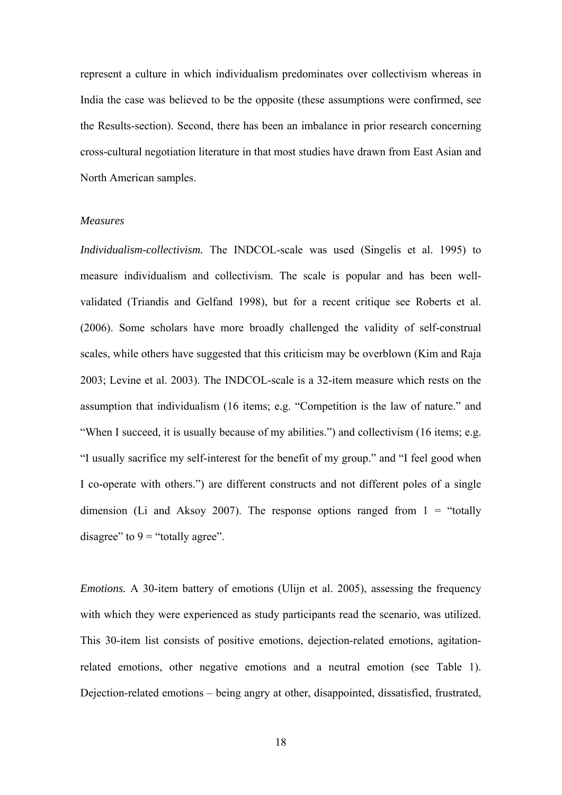represent a culture in which individualism predominates over collectivism whereas in India the case was believed to be the opposite (these assumptions were confirmed, see the Results-section). Second, there has been an imbalance in prior research concerning cross-cultural negotiation literature in that most studies have drawn from East Asian and North American samples.

#### *Measures*

*Individualism-collectivism.* The INDCOL-scale was used (Singelis et al. 1995) to measure individualism and collectivism. The scale is popular and has been wellvalidated (Triandis and Gelfand 1998), but for a recent critique see Roberts et al. (2006). Some scholars have more broadly challenged the validity of self-construal scales, while others have suggested that this criticism may be overblown (Kim and Raja 2003; Levine et al. 2003). The INDCOL-scale is a 32-item measure which rests on the assumption that individualism (16 items; e.g. "Competition is the law of nature." and "When I succeed, it is usually because of my abilities.") and collectivism (16 items; e.g. "I usually sacrifice my self-interest for the benefit of my group." and "I feel good when I co-operate with others.") are different constructs and not different poles of a single dimension (Li and Aksoy 2007). The response options ranged from  $1 =$  "totally" disagree" to  $9 =$  "totally agree".

*Emotions.* A 30-item battery of emotions (Ulijn et al. 2005), assessing the frequency with which they were experienced as study participants read the scenario, was utilized. This 30-item list consists of positive emotions, dejection-related emotions, agitationrelated emotions, other negative emotions and a neutral emotion (see Table 1). Dejection-related emotions – being angry at other, disappointed, dissatisfied, frustrated,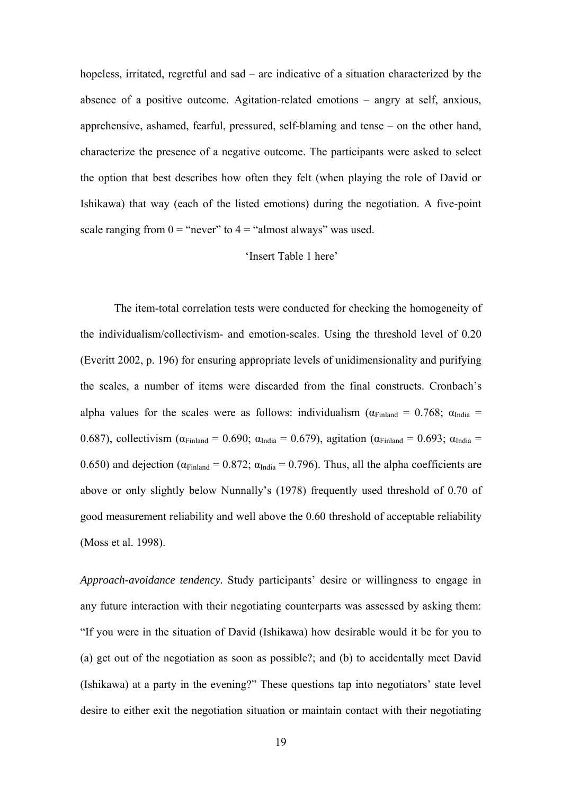hopeless, irritated, regretful and sad – are indicative of a situation characterized by the absence of a positive outcome. Agitation-related emotions – angry at self, anxious, apprehensive, ashamed, fearful, pressured, self-blaming and tense – on the other hand, characterize the presence of a negative outcome. The participants were asked to select the option that best describes how often they felt (when playing the role of David or Ishikawa) that way (each of the listed emotions) during the negotiation. A five-point scale ranging from  $0 =$  "never" to  $4 =$  "almost always" was used.

# 'Insert Table 1 here'

The item-total correlation tests were conducted for checking the homogeneity of the individualism/collectivism- and emotion-scales. Using the threshold level of 0.20 (Everitt 2002, p. 196) for ensuring appropriate levels of unidimensionality and purifying the scales, a number of items were discarded from the final constructs. Cronbach's alpha values for the scales were as follows: individualism ( $\alpha_{\text{Final and}} = 0.768$ ;  $\alpha_{\text{India}} =$ 0.687), collectivism ( $\alpha_{\text{Finland}} = 0.690$ ;  $\alpha_{\text{India}} = 0.679$ ), agitation ( $\alpha_{\text{Finland}} = 0.693$ ;  $\alpha_{\text{India}} =$ 0.650) and dejection ( $\alpha_{\text{Finland}}$  = 0.872;  $\alpha_{\text{India}}$  = 0.796). Thus, all the alpha coefficients are above or only slightly below Nunnally's (1978) frequently used threshold of 0.70 of good measurement reliability and well above the 0.60 threshold of acceptable reliability (Moss et al. 1998).

*Approach-avoidance tendency.* Study participants' desire or willingness to engage in any future interaction with their negotiating counterparts was assessed by asking them: "If you were in the situation of David (Ishikawa) how desirable would it be for you to (a) get out of the negotiation as soon as possible?; and (b) to accidentally meet David (Ishikawa) at a party in the evening?" These questions tap into negotiators' state level desire to either exit the negotiation situation or maintain contact with their negotiating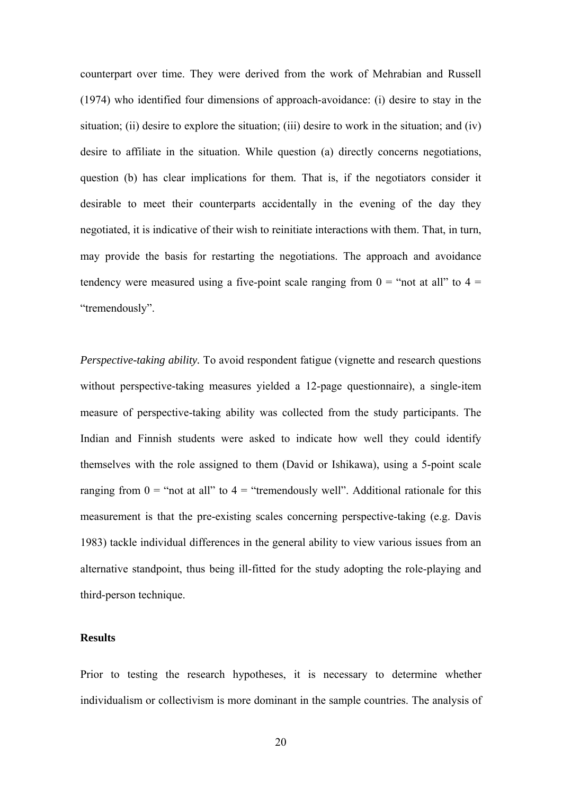counterpart over time. They were derived from the work of Mehrabian and Russell (1974) who identified four dimensions of approach-avoidance: (i) desire to stay in the situation; (ii) desire to explore the situation; (iii) desire to work in the situation; and (iv) desire to affiliate in the situation. While question (a) directly concerns negotiations, question (b) has clear implications for them. That is, if the negotiators consider it desirable to meet their counterparts accidentally in the evening of the day they negotiated, it is indicative of their wish to reinitiate interactions with them. That, in turn, may provide the basis for restarting the negotiations. The approach and avoidance tendency were measured using a five-point scale ranging from  $0 =$  "not at all" to  $4 =$ "tremendously".

*Perspective-taking ability.* To avoid respondent fatigue (vignette and research questions without perspective-taking measures yielded a 12-page questionnaire), a single-item measure of perspective-taking ability was collected from the study participants. The Indian and Finnish students were asked to indicate how well they could identify themselves with the role assigned to them (David or Ishikawa), using a 5-point scale ranging from  $0 =$  "not at all" to  $4 =$  "tremendously well". Additional rationale for this measurement is that the pre-existing scales concerning perspective-taking (e.g. Davis 1983) tackle individual differences in the general ability to view various issues from an alternative standpoint, thus being ill-fitted for the study adopting the role-playing and third-person technique.

# **Results**

Prior to testing the research hypotheses, it is necessary to determine whether individualism or collectivism is more dominant in the sample countries. The analysis of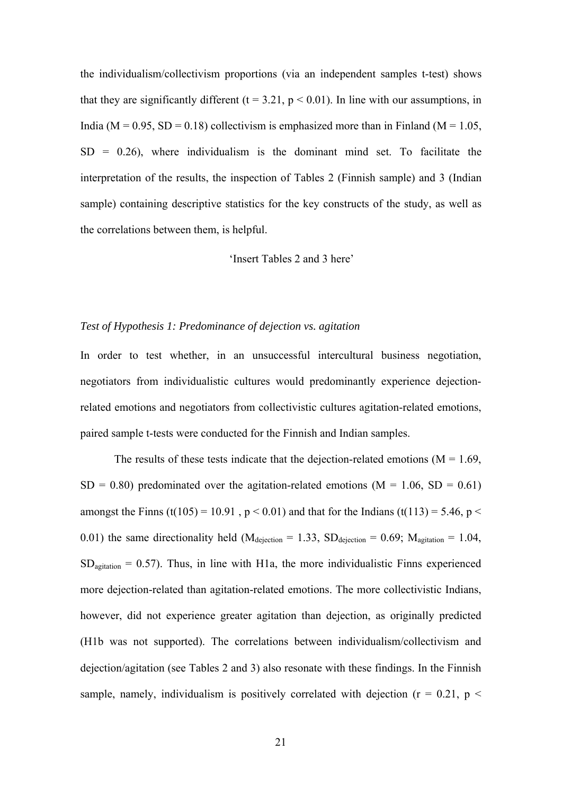the individualism/collectivism proportions (via an independent samples t-test) shows that they are significantly different ( $t = 3.21$ ,  $p < 0.01$ ). In line with our assumptions, in India ( $M = 0.95$ ,  $SD = 0.18$ ) collectivism is emphasized more than in Finland ( $M = 1.05$ ,  $SD = 0.26$ , where individualism is the dominant mind set. To facilitate the interpretation of the results, the inspection of Tables 2 (Finnish sample) and 3 (Indian sample) containing descriptive statistics for the key constructs of the study, as well as the correlations between them, is helpful.

# 'Insert Tables 2 and 3 here'

# *Test of Hypothesis 1: Predominance of dejection vs. agitation*

In order to test whether, in an unsuccessful intercultural business negotiation, negotiators from individualistic cultures would predominantly experience dejectionrelated emotions and negotiators from collectivistic cultures agitation-related emotions, paired sample t-tests were conducted for the Finnish and Indian samples.

The results of these tests indicate that the dejection-related emotions ( $M = 1.69$ ,  $SD = 0.80$ ) predominated over the agitation-related emotions (M = 1.06, SD = 0.61) amongst the Finns (t(105) = 10.91,  $p < 0.01$ ) and that for the Indians (t(113) = 5.46,  $p <$ 0.01) the same directionality held ( $M_{\text{dejection}} = 1.33$ ,  $SD_{\text{dejection}} = 0.69$ ;  $M_{\text{agitation}} = 1.04$ ,  $SD<sub>avitation</sub> = 0.57$ . Thus, in line with H1a, the more individualistic Finns experienced more dejection-related than agitation-related emotions. The more collectivistic Indians, however, did not experience greater agitation than dejection, as originally predicted (H1b was not supported). The correlations between individualism/collectivism and dejection/agitation (see Tables 2 and 3) also resonate with these findings. In the Finnish sample, namely, individualism is positively correlated with dejection ( $r = 0.21$ ,  $p <$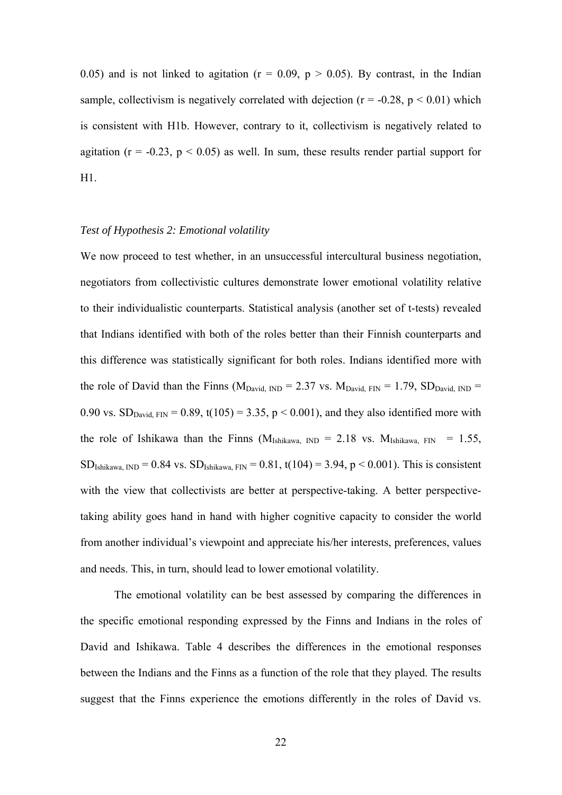0.05) and is not linked to agitation ( $r = 0.09$ ,  $p > 0.05$ ). By contrast, in the Indian sample, collectivism is negatively correlated with dejection ( $r = -0.28$ ,  $p \le 0.01$ ) which is consistent with H1b. However, contrary to it, collectivism is negatively related to agitation ( $r = -0.23$ ,  $p < 0.05$ ) as well. In sum, these results render partial support for H1.

# *Test of Hypothesis 2: Emotional volatility*

We now proceed to test whether, in an unsuccessful intercultural business negotiation, negotiators from collectivistic cultures demonstrate lower emotional volatility relative to their individualistic counterparts. Statistical analysis (another set of t-tests) revealed that Indians identified with both of the roles better than their Finnish counterparts and this difference was statistically significant for both roles. Indians identified more with the role of David than the Finns ( $M_{David, IND} = 2.37$  vs.  $M_{David, FIN} = 1.79$ ,  $SD_{David, IND} =$ 0.90 vs.  $SD_{David FIN} = 0.89$ ,  $t(105) = 3.35$ ,  $p < 0.001$ ), and they also identified more with the role of Ishikawa than the Finns ( $M_{Ishikawa, IND} = 2.18$  vs.  $M_{Ishikawa, FIN} = 1.55$ ,  $SD_{Ishikawa, IND} = 0.84$  vs.  $SD_{Ishikawa, FIN} = 0.81$ ,  $t(104) = 3.94$ ,  $p < 0.001$ ). This is consistent with the view that collectivists are better at perspective-taking. A better perspectivetaking ability goes hand in hand with higher cognitive capacity to consider the world from another individual's viewpoint and appreciate his/her interests, preferences, values and needs. This, in turn, should lead to lower emotional volatility.

The emotional volatility can be best assessed by comparing the differences in the specific emotional responding expressed by the Finns and Indians in the roles of David and Ishikawa. Table 4 describes the differences in the emotional responses between the Indians and the Finns as a function of the role that they played. The results suggest that the Finns experience the emotions differently in the roles of David vs.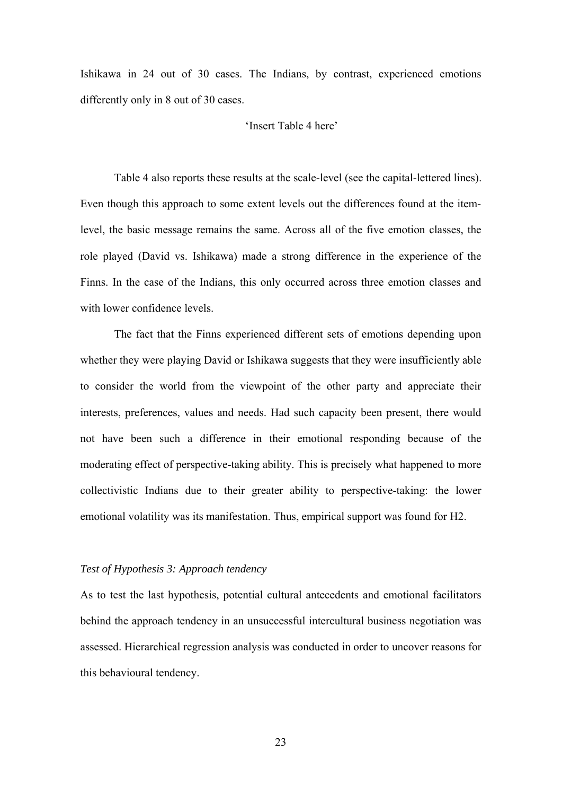Ishikawa in 24 out of 30 cases. The Indians, by contrast, experienced emotions differently only in 8 out of 30 cases.

# 'Insert Table 4 here'

Table 4 also reports these results at the scale-level (see the capital-lettered lines). Even though this approach to some extent levels out the differences found at the itemlevel, the basic message remains the same. Across all of the five emotion classes, the role played (David vs. Ishikawa) made a strong difference in the experience of the Finns. In the case of the Indians, this only occurred across three emotion classes and with lower confidence levels.

The fact that the Finns experienced different sets of emotions depending upon whether they were playing David or Ishikawa suggests that they were insufficiently able to consider the world from the viewpoint of the other party and appreciate their interests, preferences, values and needs. Had such capacity been present, there would not have been such a difference in their emotional responding because of the moderating effect of perspective-taking ability. This is precisely what happened to more collectivistic Indians due to their greater ability to perspective-taking: the lower emotional volatility was its manifestation. Thus, empirical support was found for H2.

# *Test of Hypothesis 3: Approach tendency*

As to test the last hypothesis, potential cultural antecedents and emotional facilitators behind the approach tendency in an unsuccessful intercultural business negotiation was assessed. Hierarchical regression analysis was conducted in order to uncover reasons for this behavioural tendency.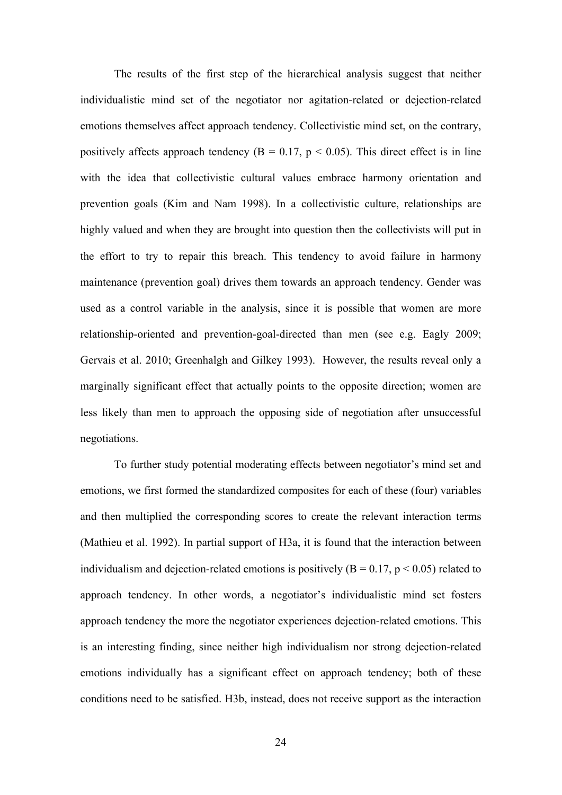The results of the first step of the hierarchical analysis suggest that neither individualistic mind set of the negotiator nor agitation-related or dejection-related emotions themselves affect approach tendency. Collectivistic mind set, on the contrary, positively affects approach tendency ( $B = 0.17$ ,  $p < 0.05$ ). This direct effect is in line with the idea that collectivistic cultural values embrace harmony orientation and prevention goals (Kim and Nam 1998). In a collectivistic culture, relationships are highly valued and when they are brought into question then the collectivists will put in the effort to try to repair this breach. This tendency to avoid failure in harmony maintenance (prevention goal) drives them towards an approach tendency. Gender was used as a control variable in the analysis, since it is possible that women are more relationship-oriented and prevention-goal-directed than men (see e.g. Eagly 2009; Gervais et al. 2010; Greenhalgh and Gilkey 1993). However, the results reveal only a marginally significant effect that actually points to the opposite direction; women are less likely than men to approach the opposing side of negotiation after unsuccessful negotiations.

To further study potential moderating effects between negotiator's mind set and emotions, we first formed the standardized composites for each of these (four) variables and then multiplied the corresponding scores to create the relevant interaction terms (Mathieu et al. 1992). In partial support of H3a, it is found that the interaction between individualism and dejection-related emotions is positively  $(B = 0.17, p \le 0.05)$  related to approach tendency. In other words, a negotiator's individualistic mind set fosters approach tendency the more the negotiator experiences dejection-related emotions. This is an interesting finding, since neither high individualism nor strong dejection-related emotions individually has a significant effect on approach tendency; both of these conditions need to be satisfied. H3b, instead, does not receive support as the interaction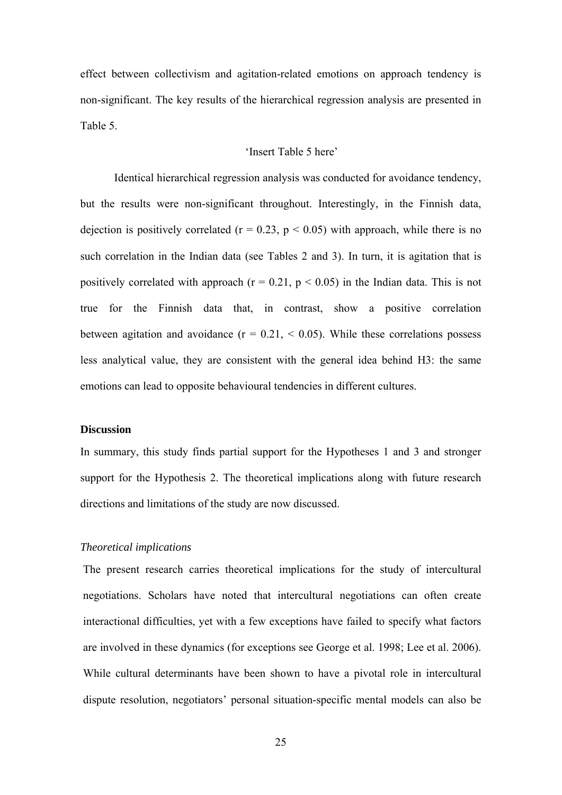effect between collectivism and agitation-related emotions on approach tendency is non-significant. The key results of the hierarchical regression analysis are presented in Table 5.

# 'Insert Table 5 here'

Identical hierarchical regression analysis was conducted for avoidance tendency, but the results were non-significant throughout. Interestingly, in the Finnish data, dejection is positively correlated ( $r = 0.23$ ,  $p < 0.05$ ) with approach, while there is no such correlation in the Indian data (see Tables 2 and 3). In turn, it is agitation that is positively correlated with approach ( $r = 0.21$ ,  $p < 0.05$ ) in the Indian data. This is not true for the Finnish data that, in contrast, show a positive correlation between agitation and avoidance  $(r = 0.21, < 0.05)$ . While these correlations possess less analytical value, they are consistent with the general idea behind H3: the same emotions can lead to opposite behavioural tendencies in different cultures.

# **Discussion**

In summary, this study finds partial support for the Hypotheses 1 and 3 and stronger support for the Hypothesis 2. The theoretical implications along with future research directions and limitations of the study are now discussed.

#### *Theoretical implications*

The present research carries theoretical implications for the study of intercultural negotiations. Scholars have noted that intercultural negotiations can often create interactional difficulties, yet with a few exceptions have failed to specify what factors are involved in these dynamics (for exceptions see George et al. 1998; Lee et al. 2006). While cultural determinants have been shown to have a pivotal role in intercultural dispute resolution, negotiators' personal situation-specific mental models can also be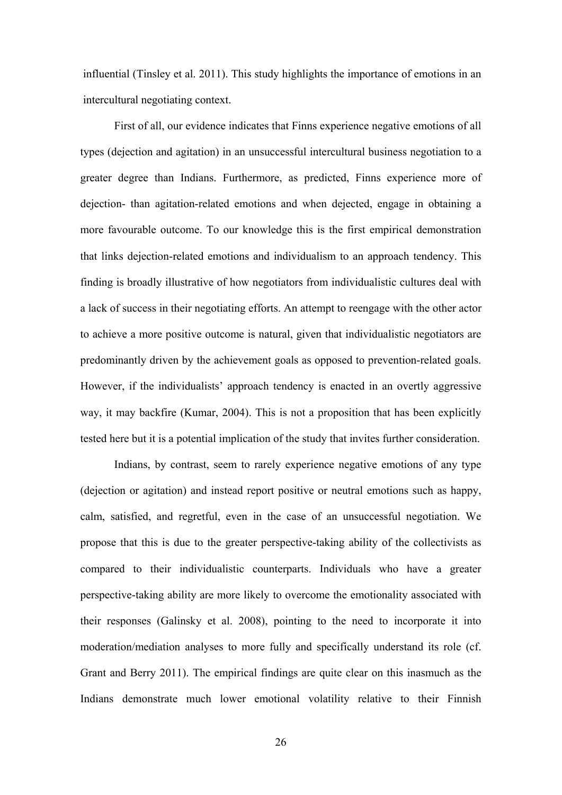influential (Tinsley et al. 2011). This study highlights the importance of emotions in an intercultural negotiating context.

First of all, our evidence indicates that Finns experience negative emotions of all types (dejection and agitation) in an unsuccessful intercultural business negotiation to a greater degree than Indians. Furthermore, as predicted, Finns experience more of dejection- than agitation-related emotions and when dejected, engage in obtaining a more favourable outcome. To our knowledge this is the first empirical demonstration that links dejection-related emotions and individualism to an approach tendency. This finding is broadly illustrative of how negotiators from individualistic cultures deal with a lack of success in their negotiating efforts. An attempt to reengage with the other actor to achieve a more positive outcome is natural, given that individualistic negotiators are predominantly driven by the achievement goals as opposed to prevention-related goals. However, if the individualists' approach tendency is enacted in an overtly aggressive way, it may backfire (Kumar, 2004). This is not a proposition that has been explicitly tested here but it is a potential implication of the study that invites further consideration.

Indians, by contrast, seem to rarely experience negative emotions of any type (dejection or agitation) and instead report positive or neutral emotions such as happy, calm, satisfied, and regretful, even in the case of an unsuccessful negotiation. We propose that this is due to the greater perspective-taking ability of the collectivists as compared to their individualistic counterparts. Individuals who have a greater perspective-taking ability are more likely to overcome the emotionality associated with their responses (Galinsky et al. 2008), pointing to the need to incorporate it into moderation/mediation analyses to more fully and specifically understand its role (cf. Grant and Berry 2011). The empirical findings are quite clear on this inasmuch as the Indians demonstrate much lower emotional volatility relative to their Finnish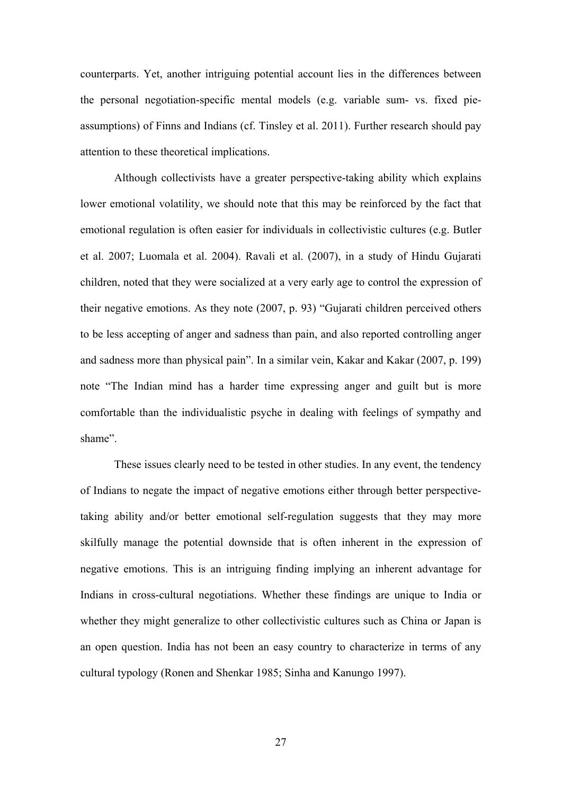counterparts. Yet, another intriguing potential account lies in the differences between the personal negotiation-specific mental models (e.g. variable sum- vs. fixed pieassumptions) of Finns and Indians (cf. Tinsley et al. 2011). Further research should pay attention to these theoretical implications.

Although collectivists have a greater perspective-taking ability which explains lower emotional volatility, we should note that this may be reinforced by the fact that emotional regulation is often easier for individuals in collectivistic cultures (e.g. Butler et al. 2007; Luomala et al. 2004). Ravali et al. (2007), in a study of Hindu Gujarati children, noted that they were socialized at a very early age to control the expression of their negative emotions. As they note (2007, p. 93) "Gujarati children perceived others to be less accepting of anger and sadness than pain, and also reported controlling anger and sadness more than physical pain". In a similar vein, Kakar and Kakar (2007, p. 199) note "The Indian mind has a harder time expressing anger and guilt but is more comfortable than the individualistic psyche in dealing with feelings of sympathy and shame".

These issues clearly need to be tested in other studies. In any event, the tendency of Indians to negate the impact of negative emotions either through better perspectivetaking ability and/or better emotional self-regulation suggests that they may more skilfully manage the potential downside that is often inherent in the expression of negative emotions. This is an intriguing finding implying an inherent advantage for Indians in cross-cultural negotiations. Whether these findings are unique to India or whether they might generalize to other collectivistic cultures such as China or Japan is an open question. India has not been an easy country to characterize in terms of any cultural typology (Ronen and Shenkar 1985; Sinha and Kanungo 1997).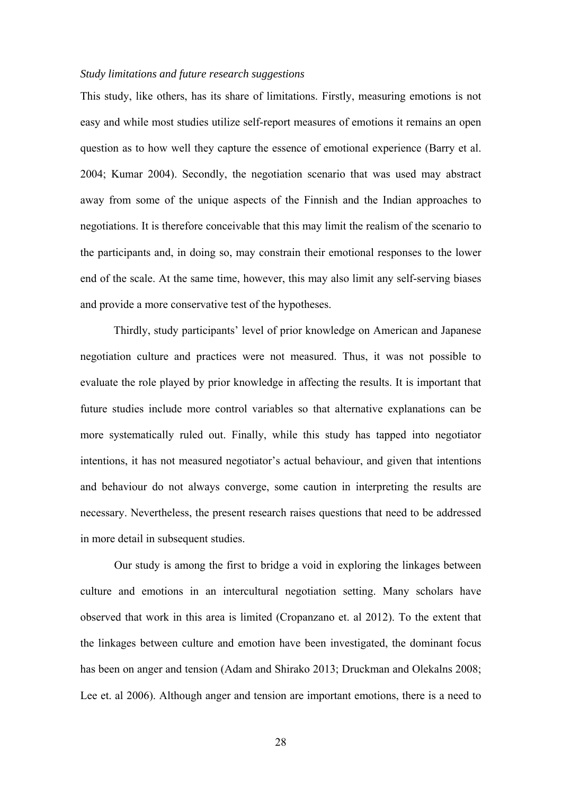#### *Study limitations and future research suggestions*

This study, like others, has its share of limitations. Firstly, measuring emotions is not easy and while most studies utilize self-report measures of emotions it remains an open question as to how well they capture the essence of emotional experience (Barry et al. 2004; Kumar 2004). Secondly, the negotiation scenario that was used may abstract away from some of the unique aspects of the Finnish and the Indian approaches to negotiations. It is therefore conceivable that this may limit the realism of the scenario to the participants and, in doing so, may constrain their emotional responses to the lower end of the scale. At the same time, however, this may also limit any self-serving biases and provide a more conservative test of the hypotheses.

Thirdly, study participants' level of prior knowledge on American and Japanese negotiation culture and practices were not measured. Thus, it was not possible to evaluate the role played by prior knowledge in affecting the results. It is important that future studies include more control variables so that alternative explanations can be more systematically ruled out. Finally, while this study has tapped into negotiator intentions, it has not measured negotiator's actual behaviour, and given that intentions and behaviour do not always converge, some caution in interpreting the results are necessary. Nevertheless, the present research raises questions that need to be addressed in more detail in subsequent studies.

Our study is among the first to bridge a void in exploring the linkages between culture and emotions in an intercultural negotiation setting. Many scholars have observed that work in this area is limited (Cropanzano et. al 2012). To the extent that the linkages between culture and emotion have been investigated, the dominant focus has been on anger and tension (Adam and Shirako 2013; Druckman and Olekalns 2008; Lee et. al 2006). Although anger and tension are important emotions, there is a need to

28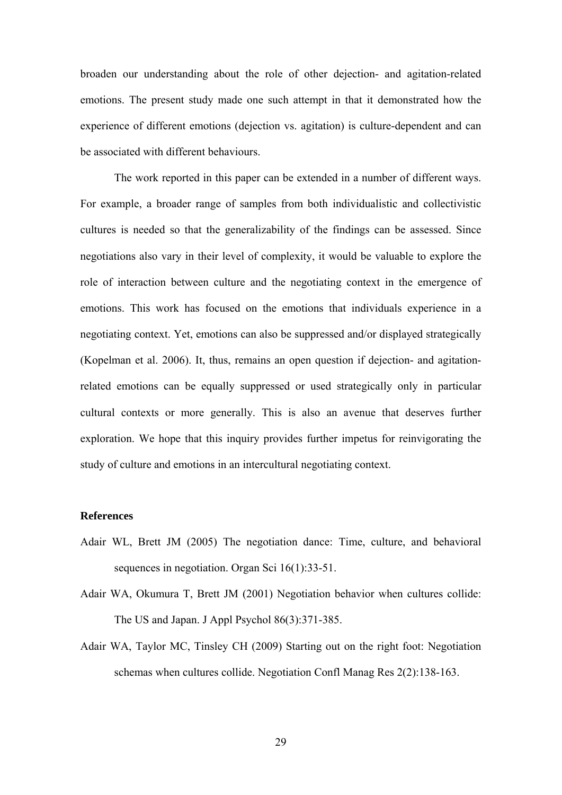broaden our understanding about the role of other dejection- and agitation-related emotions. The present study made one such attempt in that it demonstrated how the experience of different emotions (dejection vs. agitation) is culture-dependent and can be associated with different behaviours.

The work reported in this paper can be extended in a number of different ways. For example, a broader range of samples from both individualistic and collectivistic cultures is needed so that the generalizability of the findings can be assessed. Since negotiations also vary in their level of complexity, it would be valuable to explore the role of interaction between culture and the negotiating context in the emergence of emotions. This work has focused on the emotions that individuals experience in a negotiating context. Yet, emotions can also be suppressed and/or displayed strategically (Kopelman et al. 2006). It, thus, remains an open question if dejection- and agitationrelated emotions can be equally suppressed or used strategically only in particular cultural contexts or more generally. This is also an avenue that deserves further exploration. We hope that this inquiry provides further impetus for reinvigorating the study of culture and emotions in an intercultural negotiating context.

## **References**

- Adair WL, Brett JM (2005) The negotiation dance: Time, culture, and behavioral sequences in negotiation. Organ Sci 16(1):33-51.
- Adair WA, Okumura T, Brett JM (2001) Negotiation behavior when cultures collide: The US and Japan. J Appl Psychol 86(3):371-385.
- Adair WA, Taylor MC, Tinsley CH (2009) Starting out on the right foot: Negotiation schemas when cultures collide. Negotiation Confl Manag Res 2(2):138-163.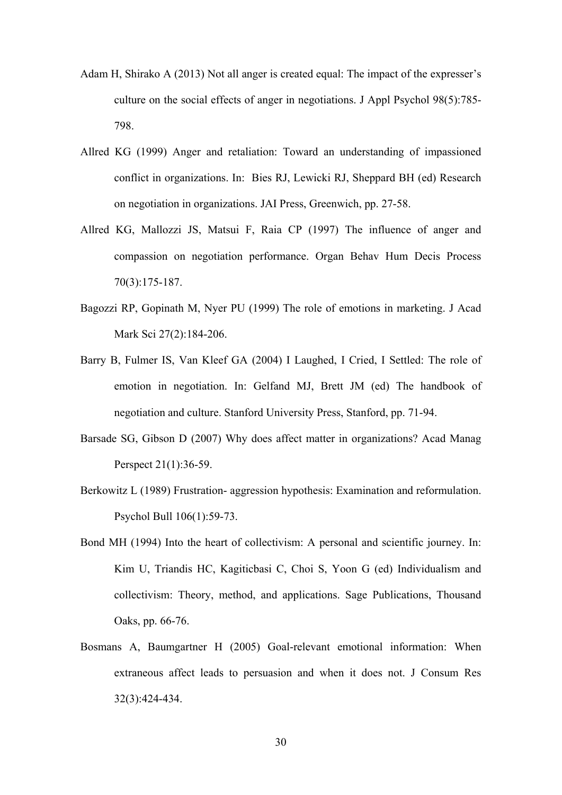- Adam H, Shirako A (2013) Not all anger is created equal: The impact of the expresser's culture on the social effects of anger in negotiations. J Appl Psychol 98(5):785- 798.
- Allred KG (1999) Anger and retaliation: Toward an understanding of impassioned conflict in organizations. In: Bies RJ, Lewicki RJ, Sheppard BH (ed) Research on negotiation in organizations. JAI Press, Greenwich, pp. 27-58.
- Allred KG, Mallozzi JS, Matsui F, Raia CP (1997) The influence of anger and compassion on negotiation performance. Organ Behav Hum Decis Process 70(3):175-187.
- Bagozzi RP, Gopinath M, Nyer PU (1999) The role of emotions in marketing. J Acad Mark Sci 27(2):184-206.
- Barry B, Fulmer IS, Van Kleef GA (2004) I Laughed, I Cried, I Settled: The role of emotion in negotiation. In: Gelfand MJ, Brett JM (ed) The handbook of negotiation and culture. Stanford University Press, Stanford, pp. 71-94.
- Barsade SG, Gibson D (2007) Why does affect matter in organizations? Acad Manag Perspect 21(1):36-59.
- Berkowitz L (1989) Frustration- aggression hypothesis: Examination and reformulation. Psychol Bull 106(1):59-73.
- Bond MH (1994) Into the heart of collectivism: A personal and scientific journey. In: Kim U, Triandis HC, Kagiticbasi C, Choi S, Yoon G (ed) Individualism and collectivism: Theory, method, and applications. Sage Publications, Thousand Oaks, pp. 66-76.
- Bosmans A, Baumgartner H (2005) Goal-relevant emotional information: When extraneous affect leads to persuasion and when it does not. J Consum Res 32(3):424-434.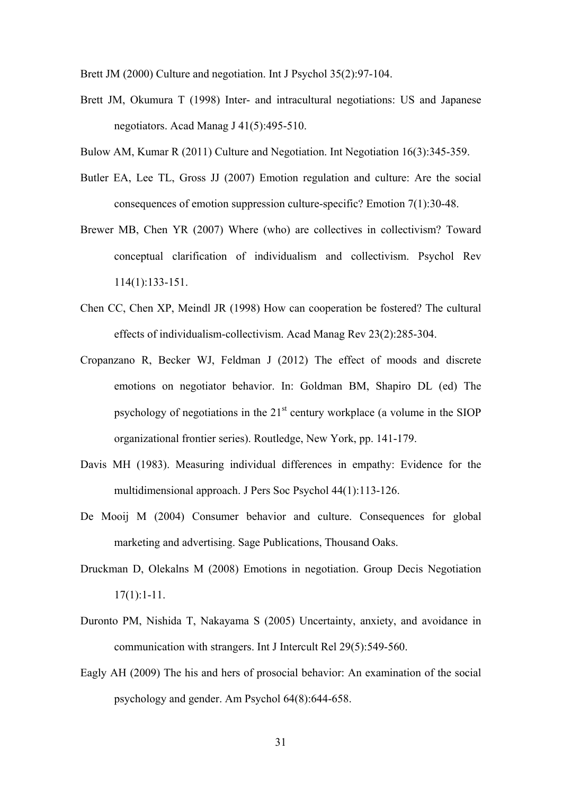Brett JM (2000) Culture and negotiation. Int J Psychol 35(2):97-104.

- Brett JM, Okumura T (1998) Inter- and intracultural negotiations: US and Japanese negotiators. Acad Manag J 41(5):495-510.
- Bulow AM, Kumar R (2011) Culture and Negotiation. Int Negotiation 16(3):345-359.
- Butler EA, Lee TL, Gross JJ (2007) Emotion regulation and culture: Are the social consequences of emotion suppression culture-specific? Emotion 7(1):30-48.
- Brewer MB, Chen YR (2007) Where (who) are collectives in collectivism? Toward conceptual clarification of individualism and collectivism. Psychol Rev 114(1):133-151.
- Chen CC, Chen XP, Meindl JR (1998) How can cooperation be fostered? The cultural effects of individualism-collectivism. Acad Manag Rev 23(2):285-304.
- Cropanzano R, Becker WJ, Feldman J (2012) The effect of moods and discrete emotions on negotiator behavior. In: Goldman BM, Shapiro DL (ed) The psychology of negotiations in the  $21<sup>st</sup>$  century workplace (a volume in the SIOP organizational frontier series). Routledge, New York, pp. 141-179.
- Davis MH (1983). Measuring individual differences in empathy: Evidence for the multidimensional approach. J Pers Soc Psychol 44(1):113-126.
- De Mooij M (2004) Consumer behavior and culture. Consequences for global marketing and advertising. Sage Publications, Thousand Oaks.
- Druckman D, Olekalns M (2008) Emotions in negotiation. Group Decis Negotiation  $17(1):1-11.$
- Duronto PM, Nishida T, Nakayama S (2005) Uncertainty, anxiety, and avoidance in communication with strangers. Int J Intercult Rel 29(5):549-560.
- Eagly AH (2009) The his and hers of prosocial behavior: An examination of the social psychology and gender. Am Psychol 64(8):644-658.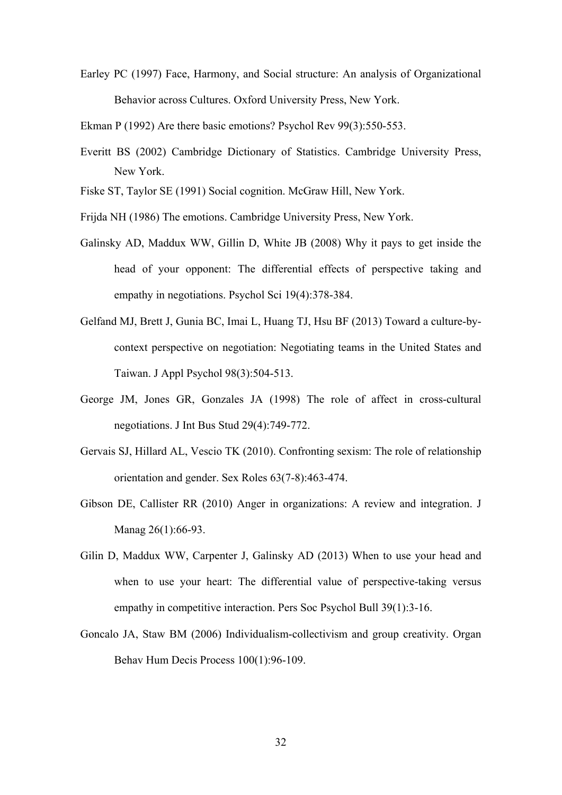Earley PC (1997) Face, Harmony, and Social structure: An analysis of Organizational Behavior across Cultures. Oxford University Press, New York.

Ekman P (1992) Are there basic emotions? Psychol Rev 99(3):550-553.

- Everitt BS (2002) Cambridge Dictionary of Statistics. Cambridge University Press, New York.
- Fiske ST, Taylor SE (1991) Social cognition. McGraw Hill, New York.
- Frijda NH (1986) The emotions. Cambridge University Press, New York.
- Galinsky AD, Maddux WW, Gillin D, White JB (2008) Why it pays to get inside the head of your opponent: The differential effects of perspective taking and empathy in negotiations. Psychol Sci 19(4):378-384.
- Gelfand MJ, Brett J, Gunia BC, Imai L, Huang TJ, Hsu BF (2013) Toward a culture-bycontext perspective on negotiation: Negotiating teams in the United States and Taiwan. J Appl Psychol 98(3):504-513.
- George JM, Jones GR, Gonzales JA (1998) The role of affect in cross-cultural negotiations. J Int Bus Stud 29(4):749-772.
- Gervais SJ, Hillard AL, Vescio TK (2010). Confronting sexism: The role of relationship orientation and gender. Sex Roles 63(7-8):463-474.
- Gibson DE, Callister RR (2010) Anger in organizations: A review and integration. J Manag 26(1):66-93.
- Gilin D, Maddux WW, Carpenter J, Galinsky AD (2013) When to use your head and when to use your heart: The differential value of perspective-taking versus empathy in competitive interaction. Pers Soc Psychol Bull 39(1):3-16.
- Goncalo JA, Staw BM (2006) Individualism-collectivism and group creativity. Organ Behav Hum Decis Process 100(1):96-109.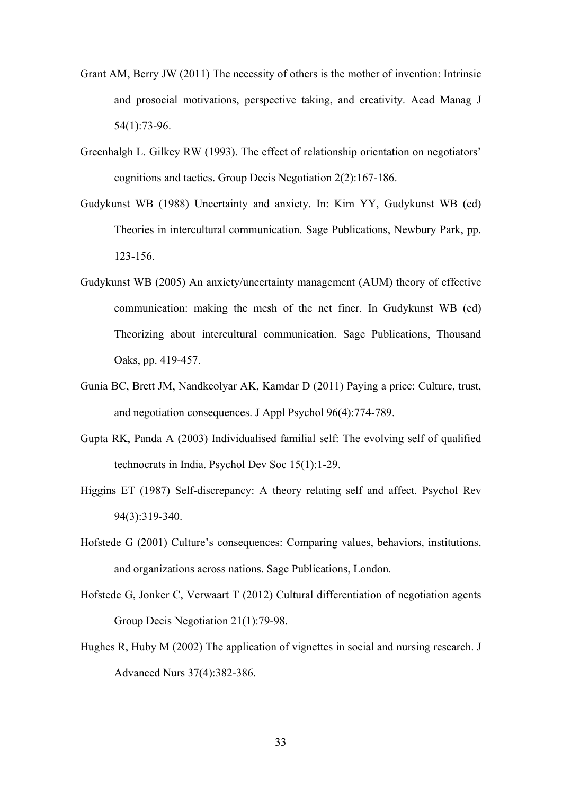- Grant AM, Berry JW (2011) The necessity of others is the mother of invention: Intrinsic and prosocial motivations, perspective taking, and creativity. Acad Manag J 54(1):73-96.
- Greenhalgh L. Gilkey RW (1993). The effect of relationship orientation on negotiators' cognitions and tactics. Group Decis Negotiation 2(2):167-186.
- Gudykunst WB (1988) Uncertainty and anxiety. In: Kim YY, Gudykunst WB (ed) Theories in intercultural communication. Sage Publications, Newbury Park, pp. 123-156.
- Gudykunst WB (2005) An anxiety/uncertainty management (AUM) theory of effective communication: making the mesh of the net finer. In Gudykunst WB (ed) Theorizing about intercultural communication. Sage Publications, Thousand Oaks, pp. 419-457.
- Gunia BC, Brett JM, Nandkeolyar AK, Kamdar D (2011) Paying a price: Culture, trust, and negotiation consequences. J Appl Psychol 96(4):774-789.
- Gupta RK, Panda A (2003) Individualised familial self: The evolving self of qualified technocrats in India. Psychol Dev Soc 15(1):1-29.
- Higgins ET (1987) Self-discrepancy: A theory relating self and affect. Psychol Rev 94(3):319-340.
- Hofstede G (2001) Culture's consequences: Comparing values, behaviors, institutions, and organizations across nations. Sage Publications, London.
- Hofstede G, Jonker C, Verwaart T (2012) Cultural differentiation of negotiation agents Group Decis Negotiation 21(1):79-98.
- Hughes R, Huby M (2002) The application of vignettes in social and nursing research. J Advanced Nurs 37(4):382-386.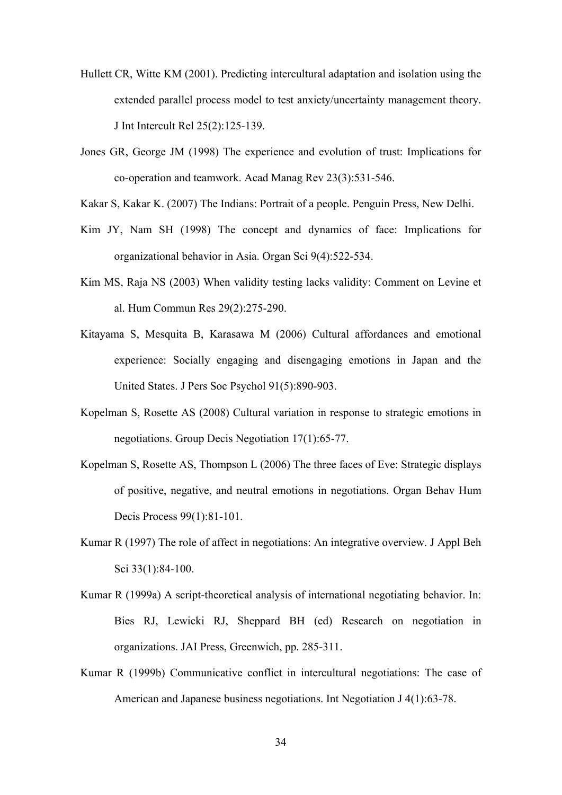- Hullett CR, Witte KM (2001). Predicting intercultural adaptation and isolation using the extended parallel process model to test anxiety/uncertainty management theory. J Int Intercult Rel 25(2):125-139.
- Jones GR, George JM (1998) The experience and evolution of trust: Implications for co-operation and teamwork. Acad Manag Rev 23(3):531-546.
- Kakar S, Kakar K. (2007) The Indians: Portrait of a people. Penguin Press, New Delhi.
- Kim JY, Nam SH (1998) The concept and dynamics of face: Implications for organizational behavior in Asia. Organ Sci 9(4):522-534.
- Kim MS, Raja NS (2003) When validity testing lacks validity: Comment on Levine et al*.* Hum Commun Res 29(2):275-290.
- Kitayama S, Mesquita B, Karasawa M (2006) Cultural affordances and emotional experience: Socially engaging and disengaging emotions in Japan and the United States. J Pers Soc Psychol 91(5):890-903.
- Kopelman S, Rosette AS (2008) Cultural variation in response to strategic emotions in negotiations. Group Decis Negotiation 17(1):65-77.
- Kopelman S, Rosette AS, Thompson L (2006) The three faces of Eve: Strategic displays of positive, negative, and neutral emotions in negotiations. Organ Behav Hum Decis Process 99(1):81-101.
- Kumar R (1997) The role of affect in negotiations: An integrative overview. J Appl Beh Sci 33(1):84-100.
- Kumar R (1999a) A script-theoretical analysis of international negotiating behavior. In: Bies RJ, Lewicki RJ, Sheppard BH (ed) Research on negotiation in organizations. JAI Press, Greenwich, pp. 285-311.
- Kumar R (1999b) Communicative conflict in intercultural negotiations: The case of American and Japanese business negotiations. Int Negotiation J 4(1):63-78.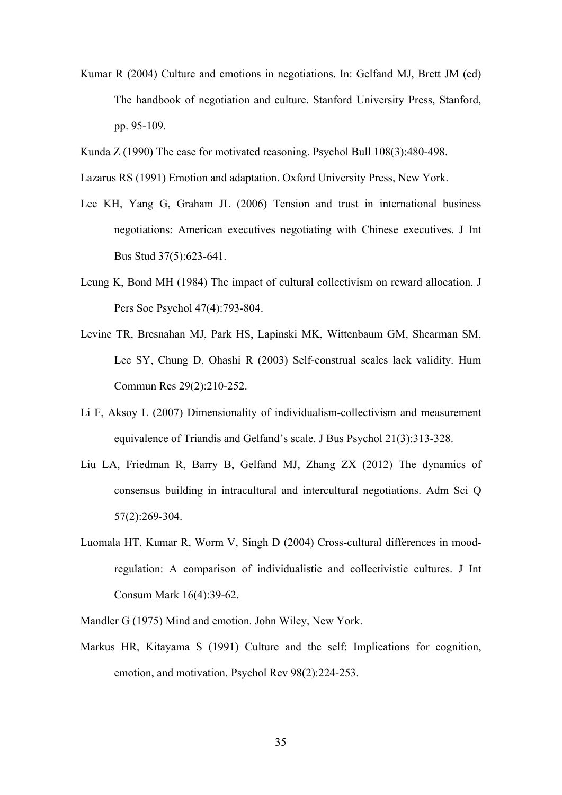- Kumar R (2004) Culture and emotions in negotiations. In: Gelfand MJ, Brett JM (ed) The handbook of negotiation and culture. Stanford University Press, Stanford, pp. 95-109.
- Kunda Z (1990) The case for motivated reasoning. Psychol Bull 108(3):480-498.
- Lazarus RS (1991) Emotion and adaptation. Oxford University Press, New York.
- Lee KH, Yang G, Graham JL (2006) Tension and trust in international business negotiations: American executives negotiating with Chinese executives. J Int Bus Stud 37(5):623-641.
- Leung K, Bond MH (1984) The impact of cultural collectivism on reward allocation. J Pers Soc Psychol 47(4):793-804.
- Levine TR, Bresnahan MJ, Park HS, Lapinski MK, Wittenbaum GM, Shearman SM, Lee SY, Chung D, Ohashi R (2003) Self-construal scales lack validity. Hum Commun Res 29(2):210-252.
- Li F, Aksoy L (2007) Dimensionality of individualism-collectivism and measurement equivalence of Triandis and Gelfand's scale. J Bus Psychol 21(3):313-328.
- Liu LA, Friedman R, Barry B, Gelfand MJ, Zhang ZX (2012) The dynamics of consensus building in intracultural and intercultural negotiations. Adm Sci Q 57(2):269-304.
- Luomala HT, Kumar R, Worm V, Singh D (2004) Cross-cultural differences in moodregulation: A comparison of individualistic and collectivistic cultures. J Int Consum Mark 16(4):39-62.
- Mandler G (1975) Mind and emotion. John Wiley, New York.
- Markus HR, Kitayama S (1991) Culture and the self: Implications for cognition, emotion, and motivation. Psychol Rev 98(2):224-253.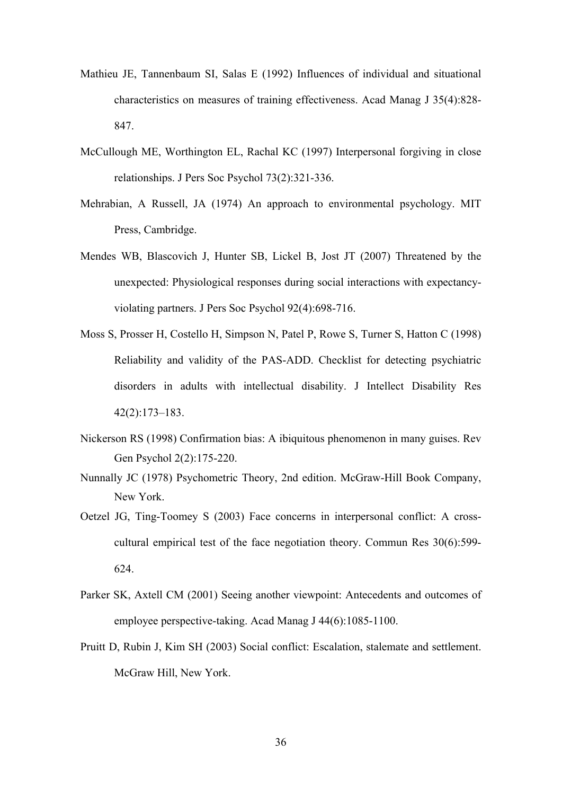- Mathieu JE, Tannenbaum SI, Salas E (1992) Influences of individual and situational characteristics on measures of training effectiveness. Acad Manag J 35(4):828- 847.
- McCullough ME, Worthington EL, Rachal KC (1997) Interpersonal forgiving in close relationships. J Pers Soc Psychol 73(2):321-336.
- Mehrabian, A Russell, JA (1974) An approach to environmental psychology. MIT Press, Cambridge.
- Mendes WB, Blascovich J, Hunter SB, Lickel B, Jost JT (2007) Threatened by the unexpected: Physiological responses during social interactions with expectancyviolating partners. J Pers Soc Psychol 92(4):698-716.
- Moss S, Prosser H, Costello H, Simpson N, Patel P, Rowe S, Turner S, Hatton C (1998) Reliability and validity of the PAS-ADD. Checklist for detecting psychiatric disorders in adults with intellectual disability. J Intellect Disability Res 42(2):173–183.
- Nickerson RS (1998) Confirmation bias: A ibiquitous phenomenon in many guises. Rev Gen Psychol 2(2):175-220.
- Nunnally JC (1978) Psychometric Theory, 2nd edition. McGraw-Hill Book Company, New York.
- Oetzel JG, Ting-Toomey S (2003) Face concerns in interpersonal conflict: A crosscultural empirical test of the face negotiation theory. Commun Res 30(6):599- 624.
- Parker SK, Axtell CM (2001) Seeing another viewpoint: Antecedents and outcomes of employee perspective-taking. Acad Manag J 44(6):1085-1100.
- Pruitt D, Rubin J, Kim SH (2003) Social conflict: Escalation, stalemate and settlement. McGraw Hill, New York.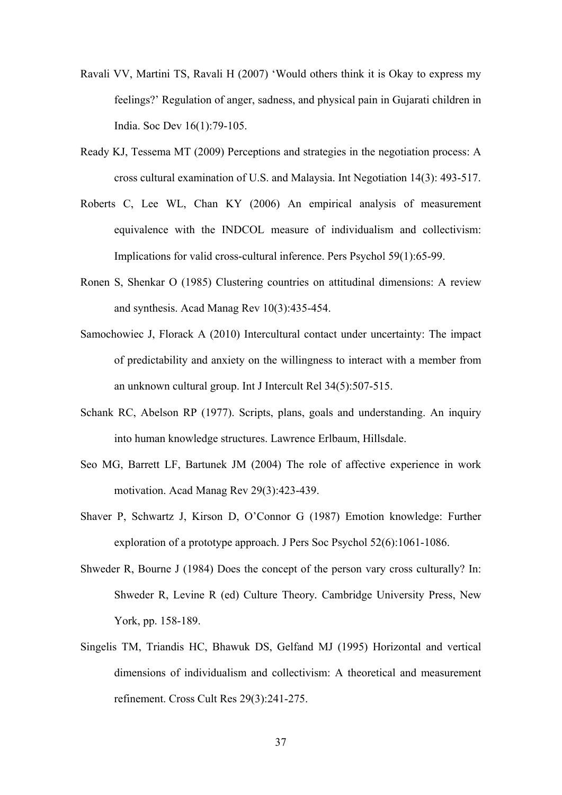- Ravali VV, Martini TS, Ravali H (2007) 'Would others think it is Okay to express my feelings?' Regulation of anger, sadness, and physical pain in Gujarati children in India. Soc Dev 16(1):79-105.
- Ready KJ, Tessema MT (2009) Perceptions and strategies in the negotiation process: A cross cultural examination of U.S. and Malaysia. Int Negotiation 14(3): 493-517.
- Roberts C, Lee WL, Chan KY (2006) An empirical analysis of measurement equivalence with the INDCOL measure of individualism and collectivism: Implications for valid cross-cultural inference. Pers Psychol 59(1):65-99.
- Ronen S, Shenkar O (1985) Clustering countries on attitudinal dimensions: A review and synthesis. Acad Manag Rev 10(3):435-454.
- Samochowiec J, Florack A (2010) Intercultural contact under uncertainty: The impact of predictability and anxiety on the willingness to interact with a member from an unknown cultural group. Int J Intercult Rel 34(5):507-515.
- Schank RC, Abelson RP (1977). Scripts, plans, goals and understanding. An inquiry into human knowledge structures. Lawrence Erlbaum, Hillsdale.
- Seo MG, Barrett LF, Bartunek JM (2004) The role of affective experience in work motivation. Acad Manag Rev 29(3):423-439.
- Shaver P, Schwartz J, Kirson D, O'Connor G (1987) Emotion knowledge: Further exploration of a prototype approach. J Pers Soc Psychol 52(6):1061-1086.
- Shweder R, Bourne J (1984) Does the concept of the person vary cross culturally? In: Shweder R, Levine R (ed) Culture Theory*.* Cambridge University Press, New York, pp. 158-189.
- Singelis TM, Triandis HC, Bhawuk DS, Gelfand MJ (1995) Horizontal and vertical dimensions of individualism and collectivism: A theoretical and measurement refinement. Cross Cult Res 29(3):241-275.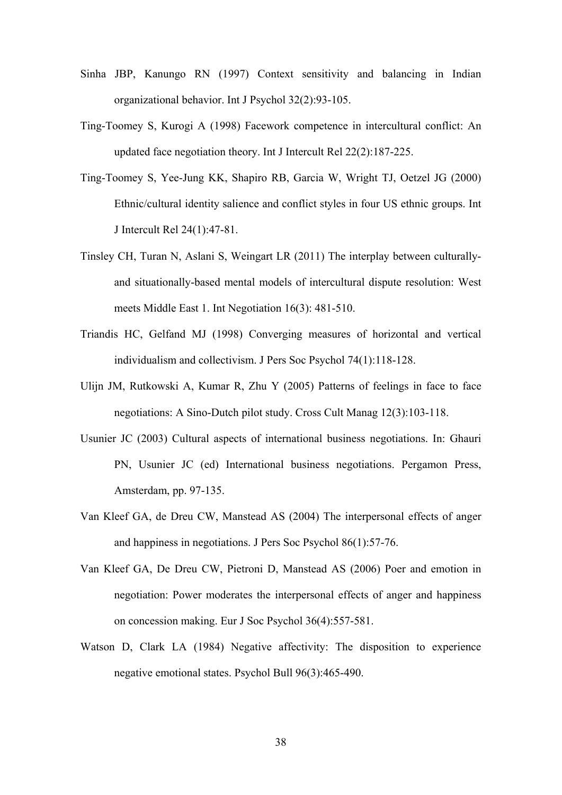- Sinha JBP, Kanungo RN (1997) Context sensitivity and balancing in Indian organizational behavior. Int J Psychol 32(2):93-105.
- Ting-Toomey S, Kurogi A (1998) Facework competence in intercultural conflict: An updated face negotiation theory. Int J Intercult Rel 22(2):187-225.
- Ting-Toomey S, Yee-Jung KK, Shapiro RB, Garcia W, Wright TJ, Oetzel JG (2000) Ethnic/cultural identity salience and conflict styles in four US ethnic groups. Int J Intercult Rel 24(1):47-81.
- Tinsley CH, Turan N, Aslani S, Weingart LR (2011) The interplay between culturallyand situationally-based mental models of intercultural dispute resolution: West meets Middle East 1. Int Negotiation 16(3): 481-510.
- Triandis HC, Gelfand MJ (1998) Converging measures of horizontal and vertical individualism and collectivism. J Pers Soc Psychol 74(1):118-128.
- Ulijn JM, Rutkowski A, Kumar R, Zhu Y (2005) Patterns of feelings in face to face negotiations: A Sino-Dutch pilot study. Cross Cult Manag 12(3):103-118.
- Usunier JC (2003) Cultural aspects of international business negotiations. In: Ghauri PN, Usunier JC (ed) International business negotiations. Pergamon Press, Amsterdam, pp. 97-135.
- Van Kleef GA, de Dreu CW, Manstead AS (2004) The interpersonal effects of anger and happiness in negotiations. J Pers Soc Psychol 86(1):57-76.
- Van Kleef GA, De Dreu CW, Pietroni D, Manstead AS (2006) Poer and emotion in negotiation: Power moderates the interpersonal effects of anger and happiness on concession making. Eur J Soc Psychol 36(4):557-581.
- Watson D, Clark LA (1984) Negative affectivity: The disposition to experience negative emotional states. Psychol Bull 96(3):465-490.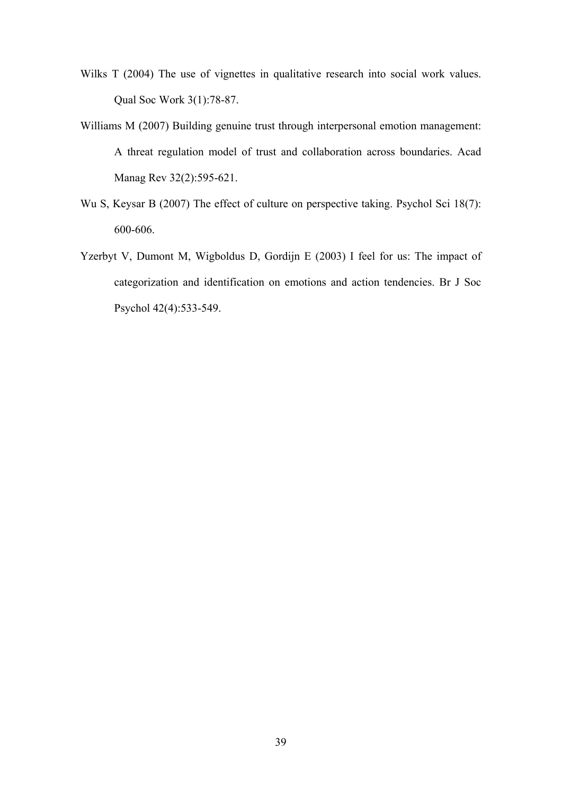- Wilks T (2004) The use of vignettes in qualitative research into social work values. Qual Soc Work 3(1):78-87.
- Williams M (2007) Building genuine trust through interpersonal emotion management: A threat regulation model of trust and collaboration across boundaries. Acad Manag Rev 32(2):595-621.
- Wu S, Keysar B (2007) The effect of culture on perspective taking. Psychol Sci 18(7): 600-606.
- Yzerbyt V, Dumont M, Wigboldus D, Gordijn E (2003) I feel for us: The impact of categorization and identification on emotions and action tendencies. Br J Soc Psychol 42(4):533-549.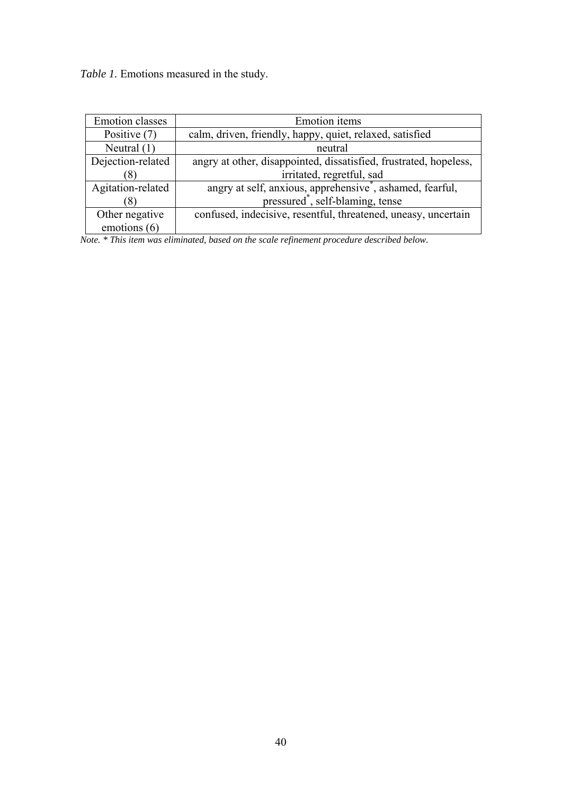*Table 1.* Emotions measured in the study.

| <b>Emotion</b> classes | <b>Emotion</b> items                                                  |
|------------------------|-----------------------------------------------------------------------|
| Positive (7)           | calm, driven, friendly, happy, quiet, relaxed, satisfied              |
| Neutral $(1)$          | neutral                                                               |
| Dejection-related      | angry at other, disappointed, dissatisfied, frustrated, hopeless,     |
|                        | irritated, regretful, sad                                             |
| Agitation-related      | angry at self, anxious, apprehensive <sup>*</sup> , ashamed, fearful, |
|                        | pressured <sup>*</sup> , self-blaming, tense                          |
| Other negative         | confused, indecisive, resentful, threatened, uneasy, uncertain        |
| emotions (6)           |                                                                       |

*Note. \* This item was eliminated, based on the scale refinement procedure described below.*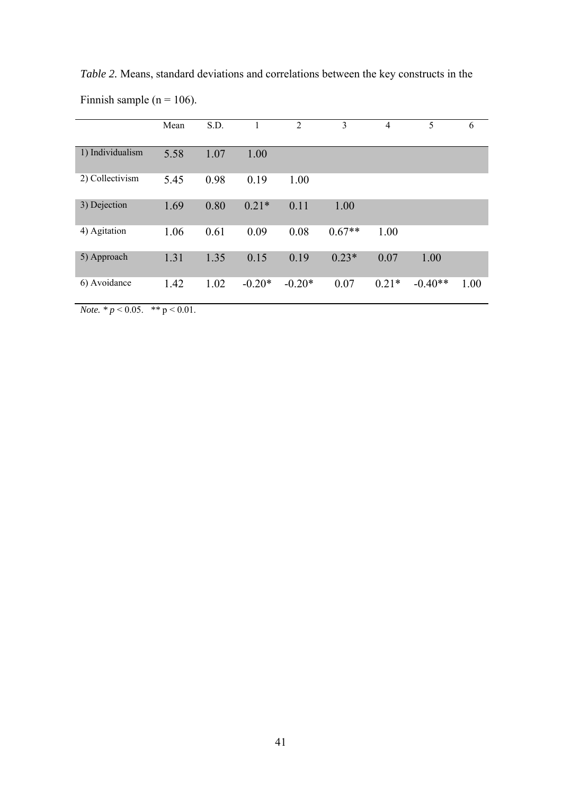|                  | Mean | S.D. | 1        | $\overline{2}$ | 3        | 4       | 5         | 6    |
|------------------|------|------|----------|----------------|----------|---------|-----------|------|
| 1) Individualism | 5.58 | 1.07 | 1.00     |                |          |         |           |      |
| 2) Collectivism  | 5.45 | 0.98 | 0.19     | 1.00           |          |         |           |      |
| 3) Dejection     | 1.69 | 0.80 | $0.21*$  | 0.11           | 1.00     |         |           |      |
| 4) Agitation     | 1.06 | 0.61 | 0.09     | 0.08           | $0.67**$ | 1.00    |           |      |
| 5) Approach      | 1.31 | 1.35 | 0.15     | 0.19           | $0.23*$  | 0.07    | 1.00      |      |
| 6) Avoidance     | 1.42 | 1.02 | $-0.20*$ | $-0.20*$       | 0.07     | $0.21*$ | $-0.40**$ | 1.00 |

*Table 2.* Means, standard deviations and correlations between the key constructs in the Finnish sample ( $n = 106$ ).

*Note.*  $* p < 0.05$ .  $* p < 0.01$ .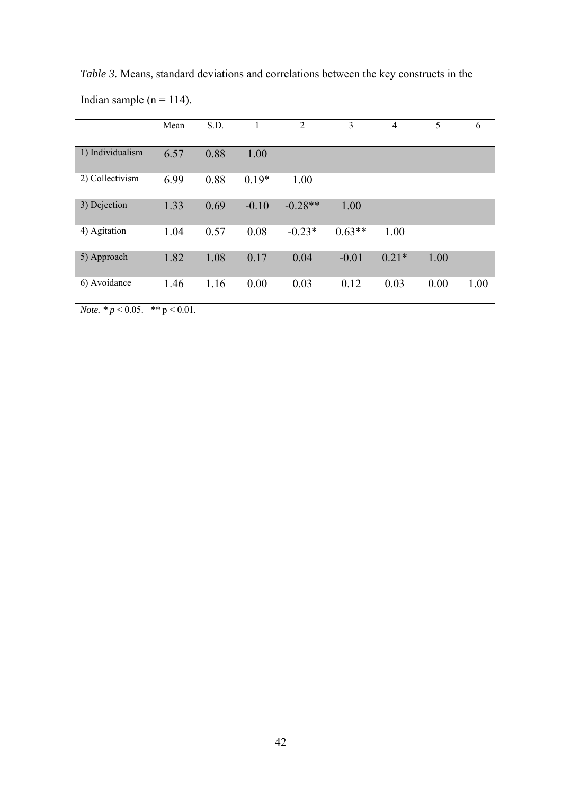|                  | Mean | S.D. |         | $\overline{2}$ | 3        | $\overline{4}$ | 5    | 6    |
|------------------|------|------|---------|----------------|----------|----------------|------|------|
| 1) Individualism | 6.57 | 0.88 | 1.00    |                |          |                |      |      |
| 2) Collectivism  | 6.99 | 0.88 | $0.19*$ | 1.00           |          |                |      |      |
| 3) Dejection     | 1.33 | 0.69 | $-0.10$ | $-0.28**$      | 1.00     |                |      |      |
| 4) Agitation     | 1.04 | 0.57 | 0.08    | $-0.23*$       | $0.63**$ | 1.00           |      |      |
| 5) Approach      | 1.82 | 1.08 | 0.17    | 0.04           | $-0.01$  | $0.21*$        | 1.00 |      |
| 6) Avoidance     | 1.46 | 1.16 | 0.00    | 0.03           | 0.12     | 0.03           | 0.00 | 1.00 |

*Table 3.* Means, standard deviations and correlations between the key constructs in the Indian sample ( $n = 114$ ).

*Note.*  $* p < 0.05$ .  $* p < 0.01$ .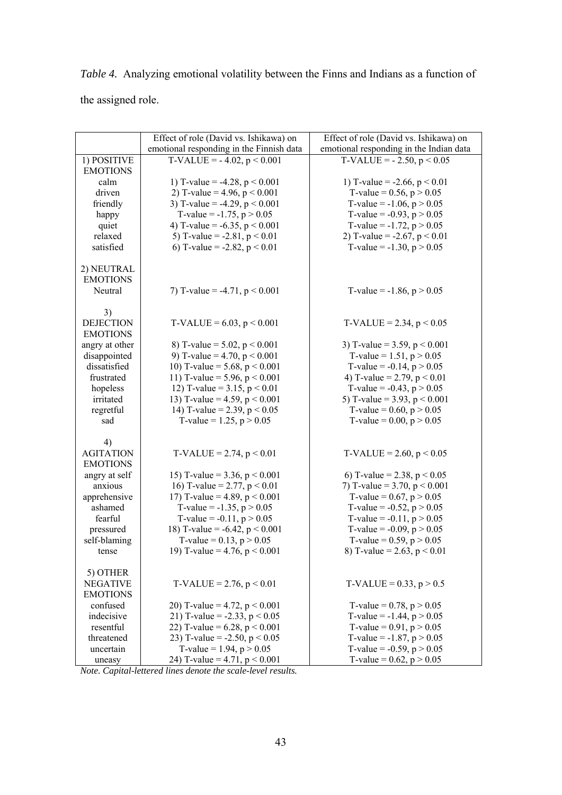*Table 4.* Analyzing emotional volatility between the Finns and Indians as a function of the assigned role.

|                  | Effect of role (David vs. Ishikawa) on   | Effect of role (David vs. Ishikawa) on  |
|------------------|------------------------------------------|-----------------------------------------|
|                  | emotional responding in the Finnish data | emotional responding in the Indian data |
| 1) POSITIVE      | $T\text{-}VALUE = -4.02, p \leq 0.001$   | $T\text{-}VALUE = -2.50, p \leq 0.05$   |
| <b>EMOTIONS</b>  |                                          |                                         |
| calm             | 1) T-value = -4.28, $p < 0.001$          | 1) T-value = $-2.66$ , p < 0.01         |
| driven           | 2) T-value = 4.96, $p < 0.001$           | T-value = $0.56$ , $p > 0.05$           |
| friendly         | 3) T-value = -4.29, $p < 0.001$          | T-value = $-1.06$ , $p > 0.05$          |
| happy            | T-value = $-1.75$ , p $> 0.05$           | T-value = $-0.93$ , p > 0.05            |
| quiet            | 4) T-value = $-6.35$ , p < 0.001         | T-value = $-1.72$ , p > 0.05            |
| relaxed          | 5) T-value = $-2.81$ , p < 0.01          | 2) T-value = $-2.67$ , p < 0.01         |
| satisfied        | 6) T-value = -2.82, $p < 0.01$           | T-value = $-1.30$ , p > 0.05            |
|                  |                                          |                                         |
| 2) NEUTRAL       |                                          |                                         |
| <b>EMOTIONS</b>  |                                          |                                         |
| Neutral          | 7) T-value = -4.71, $p < 0.001$          | T-value = $-1.86$ , $p > 0.05$          |
|                  |                                          |                                         |
| 3)               |                                          |                                         |
| <b>DEJECTION</b> | $T\text{-}VALUE = 6.03, p \leq 0.001$    | $T\text{-}VALUE = 2.34, p \leq 0.05$    |
| <b>EMOTIONS</b>  |                                          |                                         |
| angry at other   | 8) T-value = $5.02$ , p < 0.001          | 3) T-value = $3.59$ , p < $0.001$       |
| disappointed     | 9) T-value = 4.70, $p < 0.001$           | T-value = $1.51$ , p > 0.05             |
| dissatisfied     | 10) T-value = $5.68$ , p < 0.001         | T-value = $-0.14$ , p > 0.05            |
| frustrated       | 11) T-value = 5.96, $p < 0.001$          | 4) T-value = 2.79, $p < 0.01$           |
| hopeless         | 12) T-value = $3.15$ , p < 0.01          | T-value = $-0.43$ , p > 0.05            |
| irritated        | 13) T-value = 4.59, $p < 0.001$          | 5) T-value = 3.93, $p < 0.001$          |
| regretful        | 14) T-value = 2.39, $p < 0.05$           | T-value = $0.60$ , p > $0.05$           |
| sad              | T-value = $1.25$ , $p > 0.05$            | T-value = $0.00$ , p > $0.05$           |
|                  |                                          |                                         |
| 4)               |                                          |                                         |
| <b>AGITATION</b> | $T\text{-}VALUE = 2.74, p < 0.01$        | $T\text{-}VALUE = 2.60, p \leq 0.05$    |
| <b>EMOTIONS</b>  |                                          |                                         |
| angry at self    | 15) T-value = $3.36$ , p < 0.001         | 6) T-value = 2.38, $p < 0.05$           |
| anxious          | 16) T-value = 2.77, $p < 0.01$           | 7) T-value = $3.70$ , p < 0.001         |
| apprehensive     | 17) T-value = 4.89, $p < 0.001$          | T-value = $0.67$ , p > $0.05$           |
| ashamed          | T-value = $-1.35$ , $p > 0.05$           | T-value = $-0.52$ , p > 0.05            |
| fearful          | T-value = $-0.11$ , p > 0.05             | T-value = $-0.11$ , p > 0.05            |
| pressured        | 18) T-value = $-6.42$ , p < 0.001        | T-value = $-0.09$ , $p > 0.05$          |
| self-blaming     | T-value = $0.13$ , p > $0.05$            | T-value = $0.59$ , $p > 0.05$           |
| tense            | 19) T-value = 4.76, $p < 0.001$          | 8) T-value = 2.63, $p < 0.01$           |
|                  |                                          |                                         |
| 5) OTHER         |                                          |                                         |
| <b>NEGATIVE</b>  | $T\text{-}VALUE = 2.76, p < 0.01$        | $T\text{-}VALUE = 0.33, p > 0.5$        |
| <b>EMOTIONS</b>  |                                          |                                         |
| confused         | 20) T-value = 4.72, $p < 0.001$          | T-value = $0.78$ , p > $0.05$           |
| indecisive       | 21) T-value = -2.33, $p < 0.05$          | T-value = $-1.44$ , p > 0.05            |
| resentful        | 22) T-value = $6.28$ , p < $0.001$       | T-value = $0.91$ , $p > 0.05$           |
| threatened       | 23) T-value = -2.50, $p < 0.05$          | T-value = $-1.87$ , p > 0.05            |
| uncertain        | T-value = $1.94$ , $p > 0.05$            | T-value = $-0.59$ , p > 0.05            |
| uneasy           | 24) T-value = 4.71, $p < 0.001$          | T-value = $0.62$ , p > 0.05             |

*Note. Capital-lettered lines denote the scale-level results.*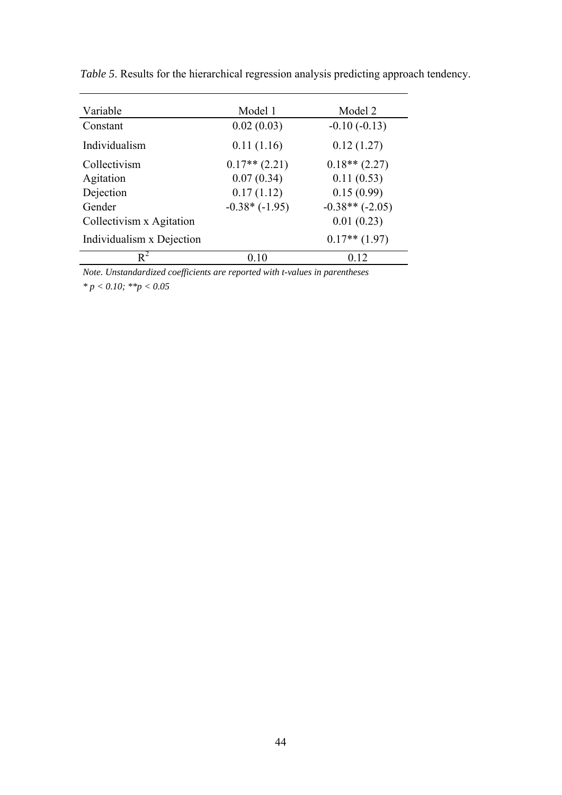| Variable                  | Model 1         | Model 2          |
|---------------------------|-----------------|------------------|
| Constant                  | 0.02(0.03)      | $-0.10(-0.13)$   |
| Individualism             | 0.11(1.16)      | 0.12(1.27)       |
| Collectivism              | $0.17**$ (2.21) | $0.18**$ (2.27)  |
| Agitation                 | 0.07(0.34)      | 0.11(0.53)       |
| Dejection                 | 0.17(1.12)      | 0.15(0.99)       |
| Gender                    | $-0.38*(-1.95)$ | $-0.38**(-2.05)$ |
| Collectivism x Agitation  |                 | 0.01(0.23)       |
| Individualism x Dejection |                 | $0.17**$ (1.97)  |
| $R^2$                     | 0.10            | 0.12             |

*Table 5*. Results for the hierarchical regression analysis predicting approach tendency.

*Note. Unstandardized coefficients are reported with t-values in parentheses \* p < 0.10; \*\*p < 0.05*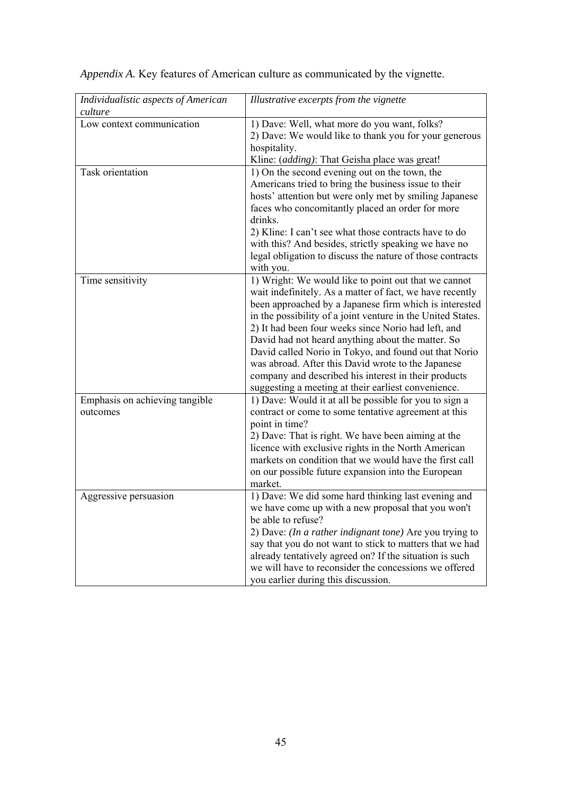| culture<br>Low context communication<br>1) Dave: Well, what more do you want, folks?<br>2) Dave: We would like to thank you for your generous<br>hospitality.<br>Kline: (adding): That Geisha place was great!<br>Task orientation<br>1) On the second evening out on the town, the<br>Americans tried to bring the business issue to their<br>hosts' attention but were only met by smiling Japanese<br>faces who concomitantly placed an order for more |
|-----------------------------------------------------------------------------------------------------------------------------------------------------------------------------------------------------------------------------------------------------------------------------------------------------------------------------------------------------------------------------------------------------------------------------------------------------------|
|                                                                                                                                                                                                                                                                                                                                                                                                                                                           |
|                                                                                                                                                                                                                                                                                                                                                                                                                                                           |
|                                                                                                                                                                                                                                                                                                                                                                                                                                                           |
|                                                                                                                                                                                                                                                                                                                                                                                                                                                           |
|                                                                                                                                                                                                                                                                                                                                                                                                                                                           |
|                                                                                                                                                                                                                                                                                                                                                                                                                                                           |
|                                                                                                                                                                                                                                                                                                                                                                                                                                                           |
|                                                                                                                                                                                                                                                                                                                                                                                                                                                           |
|                                                                                                                                                                                                                                                                                                                                                                                                                                                           |
| drinks.                                                                                                                                                                                                                                                                                                                                                                                                                                                   |
| 2) Kline: I can't see what those contracts have to do                                                                                                                                                                                                                                                                                                                                                                                                     |
| with this? And besides, strictly speaking we have no                                                                                                                                                                                                                                                                                                                                                                                                      |
| legal obligation to discuss the nature of those contracts                                                                                                                                                                                                                                                                                                                                                                                                 |
| with you.                                                                                                                                                                                                                                                                                                                                                                                                                                                 |
| 1) Wright: We would like to point out that we cannot<br>Time sensitivity                                                                                                                                                                                                                                                                                                                                                                                  |
| wait indefinitely. As a matter of fact, we have recently                                                                                                                                                                                                                                                                                                                                                                                                  |
| been approached by a Japanese firm which is interested                                                                                                                                                                                                                                                                                                                                                                                                    |
| in the possibility of a joint venture in the United States.                                                                                                                                                                                                                                                                                                                                                                                               |
| 2) It had been four weeks since Norio had left, and                                                                                                                                                                                                                                                                                                                                                                                                       |
| David had not heard anything about the matter. So                                                                                                                                                                                                                                                                                                                                                                                                         |
| David called Norio in Tokyo, and found out that Norio                                                                                                                                                                                                                                                                                                                                                                                                     |
| was abroad. After this David wrote to the Japanese                                                                                                                                                                                                                                                                                                                                                                                                        |
| company and described his interest in their products                                                                                                                                                                                                                                                                                                                                                                                                      |
| suggesting a meeting at their earliest convenience.                                                                                                                                                                                                                                                                                                                                                                                                       |
| Emphasis on achieving tangible<br>1) Dave: Would it at all be possible for you to sign a                                                                                                                                                                                                                                                                                                                                                                  |
| contract or come to some tentative agreement at this<br>outcomes                                                                                                                                                                                                                                                                                                                                                                                          |
| point in time?                                                                                                                                                                                                                                                                                                                                                                                                                                            |
| 2) Dave: That is right. We have been aiming at the                                                                                                                                                                                                                                                                                                                                                                                                        |
| licence with exclusive rights in the North American                                                                                                                                                                                                                                                                                                                                                                                                       |
| markets on condition that we would have the first call                                                                                                                                                                                                                                                                                                                                                                                                    |
| on our possible future expansion into the European                                                                                                                                                                                                                                                                                                                                                                                                        |
| market.                                                                                                                                                                                                                                                                                                                                                                                                                                                   |
| 1) Dave: We did some hard thinking last evening and<br>Aggressive persuasion                                                                                                                                                                                                                                                                                                                                                                              |
| we have come up with a new proposal that you won't                                                                                                                                                                                                                                                                                                                                                                                                        |
| be able to refuse?                                                                                                                                                                                                                                                                                                                                                                                                                                        |
| 2) Dave: (In a rather indignant tone) Are you trying to                                                                                                                                                                                                                                                                                                                                                                                                   |
| say that you do not want to stick to matters that we had                                                                                                                                                                                                                                                                                                                                                                                                  |
| already tentatively agreed on? If the situation is such                                                                                                                                                                                                                                                                                                                                                                                                   |
| we will have to reconsider the concessions we offered                                                                                                                                                                                                                                                                                                                                                                                                     |
| you earlier during this discussion.                                                                                                                                                                                                                                                                                                                                                                                                                       |

*Appendix A.* Key features of American culture as communicated by the vignette.